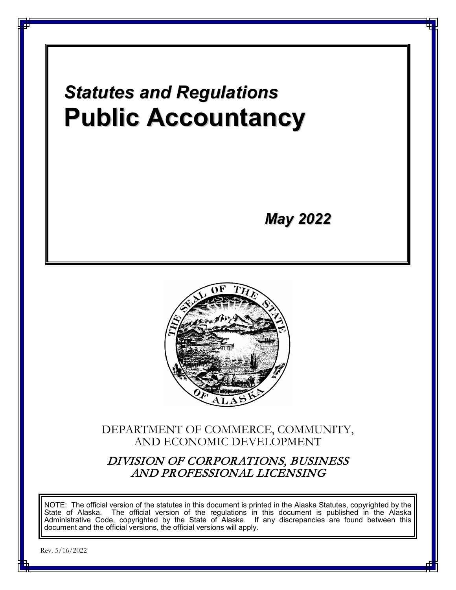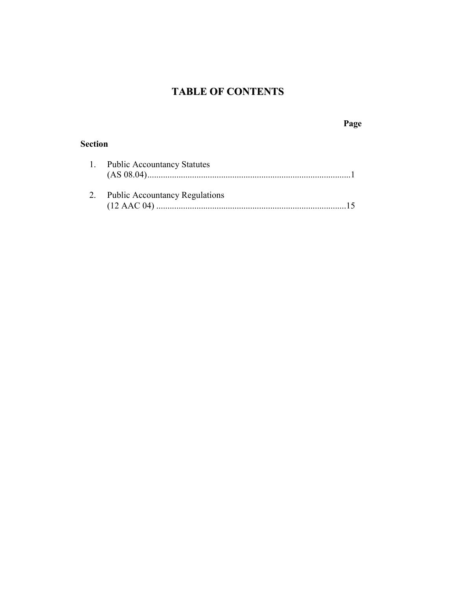# **TABLE OF CONTENTS**

# **Page**

# **Section**

| 1. Public Accountancy Statutes    |
|-----------------------------------|
|                                   |
|                                   |
| 2. Public Accountancy Regulations |
|                                   |
|                                   |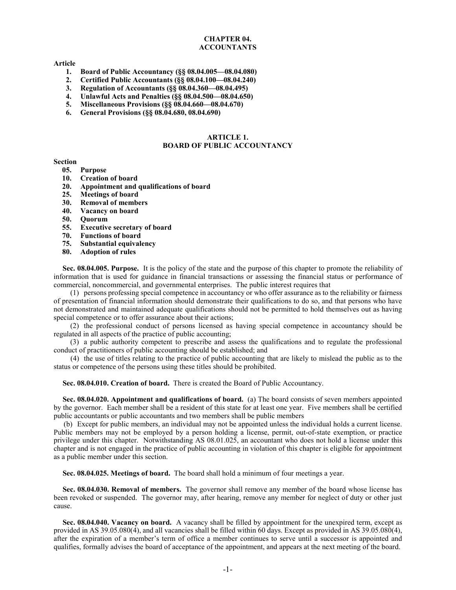# **CHAPTER 04. ACCOUNTANTS**

#### **Article**

- **1. Board of Public Accountancy (§§ 08.04.005—08.04.080)**
- **2. Certified Public Accountants (§§ 08.04.100—08.04.240)**
- **3. Regulation of Accountants (§§ 08.04.360—08.04.495)**
- **4. Unlawful Acts and Penalties (§§ 08.04.500—08.04.650)**
- **5. Miscellaneous Provisions (§§ 08.04.660—08.04.670)**
- **6. General Provisions (§§ 08.04.680, 08.04.690)**

#### **ARTICLE 1. BOARD OF PUBLIC ACCOUNTANCY**

#### **Section**

- **05. Purpose**
- **10. Creation of board**
- **20. Appointment and qualifications of board**
- **25. Meetings of board**
- **30. Removal of members**
- **40. Vacancy on board**
- **50. Quorum**
- **55. Executive secretary of board**
- **70. Functions of board**
- **75. Substantial equivalency**
- **80. Adoption of rules**

**Sec. 08.04.005. Purpose.** It is the policy of the state and the purpose of this chapter to promote the reliability of information that is used for guidance in financial transactions or assessing the financial status or performance of commercial, noncommercial, and governmental enterprises. The public interest requires that

(1) persons professing special competence in accountancy or who offer assurance as to the reliability or fairness of presentation of financial information should demonstrate their qualifications to do so, and that persons who have not demonstrated and maintained adequate qualifications should not be permitted to hold themselves out as having special competence or to offer assurance about their actions;

(2) the professional conduct of persons licensed as having special competence in accountancy should be regulated in all aspects of the practice of public accounting;

(3) a public authority competent to prescribe and assess the qualifications and to regulate the professional conduct of practitioners of public accounting should be established; and

(4) the use of titles relating to the practice of public accounting that are likely to mislead the public as to the status or competence of the persons using these titles should be prohibited.

**Sec. 08.04.010. Creation of board.** There is created the Board of Public Accountancy.

**Sec. 08.04.020. Appointment and qualifications of board.** (a) The board consists of seven members appointed by the governor. Each member shall be a resident of this state for at least one year. Five members shall be certified public accountants or public accountants and two members shall be public members

(b) Except for public members, an individual may not be appointed unless the individual holds a current license. Public members may not be employed by a person holding a license, permit, out-of-state exemption, or practice privilege under this chapter. Notwithstanding AS 08.01.025, an accountant who does not hold a license under this chapter and is not engaged in the practice of public accounting in violation of this chapter is eligible for appointment as a public member under this section.

**Sec. 08.04.025. Meetings of board.** The board shall hold a minimum of four meetings a year.

**Sec. 08.04.030. Removal of members.** The governor shall remove any member of the board whose license has been revoked or suspended. The governor may, after hearing, remove any member for neglect of duty or other just cause.

**Sec. 08.04.040. Vacancy on board.** A vacancy shall be filled by appointment for the unexpired term, except as provided in AS 39.05.080(4), and all vacancies shall be filled within 60 days. Except as provided in AS 39.05.080(4), after the expiration of a member's term of office a member continues to serve until a successor is appointed and qualifies, formally advises the board of acceptance of the appointment, and appears at the next meeting of the board.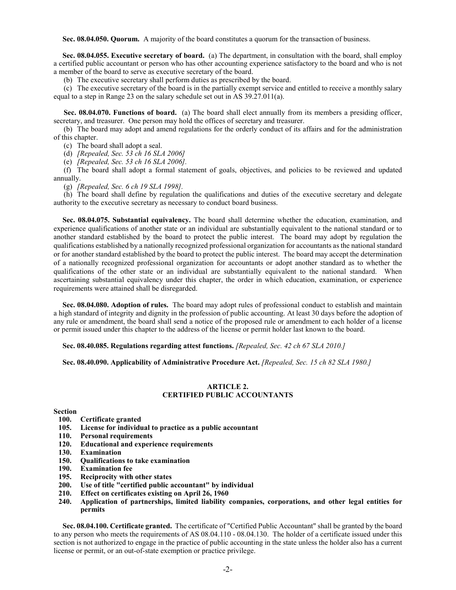**Sec. 08.04.050. Quorum.** A majority of the board constitutes a quorum for the transaction of business.

**Sec. 08.04.055. Executive secretary of board.** (a) The department, in consultation with the board, shall employ a certified public accountant or person who has other accounting experience satisfactory to the board and who is not a member of the board to serve as executive secretary of the board.

(b) The executive secretary shall perform duties as prescribed by the board.

(c) The executive secretary of the board is in the partially exempt service and entitled to receive a monthly salary equal to a step in Range 23 on the salary schedule set out in AS 39.27.011(a).

**Sec. 08.04.070. Functions of board.** (a) The board shall elect annually from its members a presiding officer, secretary, and treasurer. One person may hold the offices of secretary and treasurer.

(b) The board may adopt and amend regulations for the orderly conduct of its affairs and for the administration of this chapter.

(c) The board shall adopt a seal.

(d) *[Repealed, Sec. 53 ch 16 SLA 2006]*

(e) *[Repealed, Sec. 53 ch 16 SLA 2006].*

(f) The board shall adopt a formal statement of goals, objectives, and policies to be reviewed and updated annually.

(g) *[Repealed, Sec. 6 ch 19 SLA 1998].*

(h) The board shall define by regulation the qualifications and duties of the executive secretary and delegate authority to the executive secretary as necessary to conduct board business.

**Sec. 08.04.075. Substantial equivalency.** The board shall determine whether the education, examination, and experience qualifications of another state or an individual are substantially equivalent to the national standard or to another standard established by the board to protect the public interest. The board may adopt by regulation the qualifications established by a nationally recognized professional organization for accountants as the national standard or for another standard established by the board to protect the public interest. The board may accept the determination of a nationally recognized professional organization for accountants or adopt another standard as to whether the qualifications of the other state or an individual are substantially equivalent to the national standard. When ascertaining substantial equivalency under this chapter, the order in which education, examination, or experience requirements were attained shall be disregarded.

**Sec. 08.04.080. Adoption of rules.** The board may adopt rules of professional conduct to establish and maintain a high standard of integrity and dignity in the profession of public accounting. At least 30 days before the adoption of any rule or amendment, the board shall send a notice of the proposed rule or amendment to each holder of a license or permit issued under this chapter to the address of the license or permit holder last known to the board.

**Sec. 08.40.085. Regulations regarding attest functions.** *[Repealed, Sec. 42 ch 67 SLA 2010.]*

**Sec. 08.40.090. Applicability of Administrative Procedure Act.** *[Repealed, Sec. 15 ch 82 SLA 1980.]*

# **ARTICLE 2. CERTIFIED PUBLIC ACCOUNTANTS**

#### **Section**

- **100. Certificate granted**
- **105. License for individual to practice as a public accountant**
- **110. Personal requirements**
- **120. Educational and experience requirements**
- **130. Examination**
- **150. Qualifications to take examination**
- **190. Examination fee**
- **195. Reciprocity with other states**
- **200. Use of title "certified public accountant" by individual**
- **210. Effect on certificates existing on April 26, 1960**
- **240. Application of partnerships, limited liability companies, corporations, and other legal entities for permits**

**Sec. 08.04.100. Certificate granted.** The certificate of "Certified Public Accountant" shall be granted by the board to any person who meets the requirements of AS 08.04.110 - 08.04.130. The holder of a certificate issued under this section is not authorized to engage in the practice of public accounting in the state unless the holder also has a current license or permit, or an out-of-state exemption or practice privilege.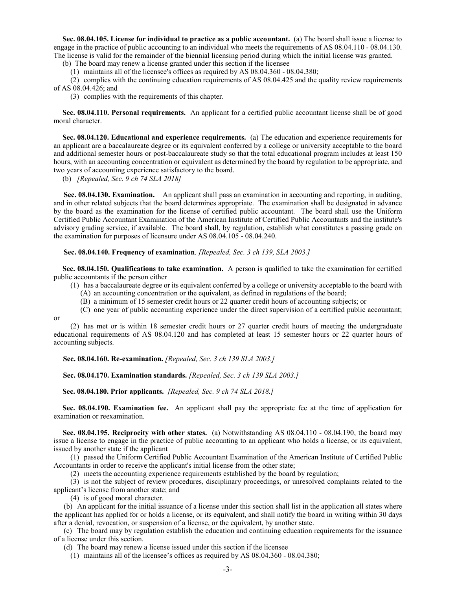**Sec. 08.04.105. License for individual to practice as a public accountant.** (a) The board shall issue a license to engage in the practice of public accounting to an individual who meets the requirements of AS 08.04.110 - 08.04.130. The license is valid for the remainder of the biennial licensing period during which the initial license was granted.

(b) The board may renew a license granted under this section if the licensee

(1) maintains all of the licensee's offices as required by AS 08.04.360 - 08.04.380;

(2) complies with the continuing education requirements of AS 08.04.425 and the quality review requirements of AS 08.04.426; and

(3) complies with the requirements of this chapter.

**Sec. 08.04.110. Personal requirements.** An applicant for a certified public accountant license shall be of good moral character.

**Sec. 08.04.120. Educational and experience requirements.** (a) The education and experience requirements for an applicant are a baccalaureate degree or its equivalent conferred by a college or university acceptable to the board and additional semester hours or post-baccalaureate study so that the total educational program includes at least 150 hours, with an accounting concentration or equivalent as determined by the board by regulation to be appropriate, and two years of accounting experience satisfactory to the board.

(b) *[Repealed, Sec. 9 ch 74 SLA 2018]*

**Sec. 08.04.130. Examination.** An applicant shall pass an examination in accounting and reporting, in auditing, and in other related subjects that the board determines appropriate. The examination shall be designated in advance by the board as the examination for the license of certified public accountant. The board shall use the Uniform Certified Public Accountant Examination of the American Institute of Certified Public Accountants and the institute's advisory grading service, if available. The board shall, by regulation, establish what constitutes a passing grade on the examination for purposes of licensure under AS 08.04.105 - 08.04.240.

**Sec. 08.04.140. Frequency of examination**. *[Repealed, Sec. 3 ch 139, SLA 2003.]*

**Sec. 08.04.150. Qualifications to take examination.** A person is qualified to take the examination for certified public accountants if the person either

(1) has a baccalaureate degree or its equivalent conferred by a college or university acceptable to the board with

(A) an accounting concentration or the equivalent, as defined in regulations of the board;

(B) a minimum of 15 semester credit hours or 22 quarter credit hours of accounting subjects; or

(C) one year of public accounting experience under the direct supervision of a certified public accountant;

or

(2) has met or is within 18 semester credit hours or 27 quarter credit hours of meeting the undergraduate educational requirements of AS 08.04.120 and has completed at least 15 semester hours or 22 quarter hours of accounting subjects.

 **Sec. 08.04.160. Re-examination.** *[Repealed, Sec. 3 ch 139 SLA 2003.]*

 **Sec. 08.04.170. Examination standards.** *[Repealed, Sec. 3 ch 139 SLA 2003.]*

**Sec. 08.04.180. Prior applicants.** *[Repealed, Sec. 9 ch 74 SLA 2018.]*

**Sec. 08.04.190. Examination fee.** An applicant shall pay the appropriate fee at the time of application for examination or reexamination.

**Sec. 08.04.195. Reciprocity with other states.** (a) Notwithstanding AS 08.04.110 - 08.04.190, the board may issue a license to engage in the practice of public accounting to an applicant who holds a license, or its equivalent, issued by another state if the applicant

(1) passed the Uniform Certified Public Accountant Examination of the American Institute of Certified Public Accountants in order to receive the applicant's initial license from the other state;

(2) meets the accounting experience requirements established by the board by regulation;

(3) is not the subject of review procedures, disciplinary proceedings, or unresolved complaints related to the applicant's license from another state; and

(4) is of good moral character.

(b) An applicant for the initial issuance of a license under this section shall list in the application all states where the applicant has applied for or holds a license, or its equivalent, and shall notify the board in writing within 30 days after a denial, revocation, or suspension of a license, or the equivalent, by another state.

(c) The board may by regulation establish the education and continuing education requirements for the issuance of a license under this section.

(d) The board may renew a license issued under this section if the licensee

(1) maintains all of the licensee's offices as required by AS 08.04.360 - 08.04.380;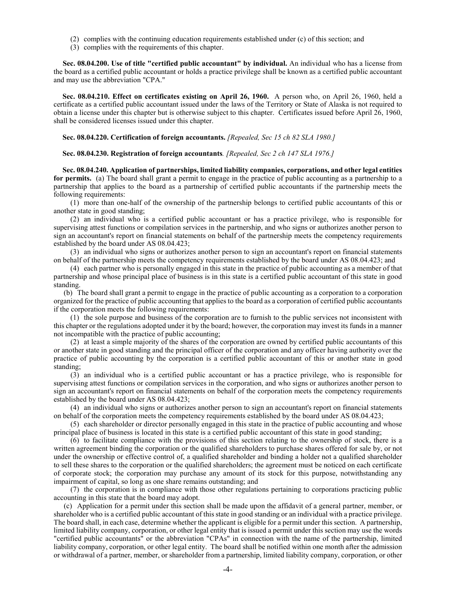- (2) complies with the continuing education requirements established under (c) of this section; and
- (3) complies with the requirements of this chapter.

**Sec. 08.04.200. Use of title "certified public accountant" by individual.** An individual who has a license from the board as a certified public accountant or holds a practice privilege shall be known as a certified public accountant and may use the abbreviation "CPA."

**Sec. 08.04.210. Effect on certificates existing on April 26, 1960.** A person who, on April 26, 1960, held a certificate as a certified public accountant issued under the laws of the Territory or State of Alaska is not required to obtain a license under this chapter but is otherwise subject to this chapter. Certificates issued before April 26, 1960, shall be considered licenses issued under this chapter.

#### **Sec. 08.04.220. Certification of foreign accountants.** *[Repealed, Sec 15 ch 82 SLA 1980.]*

**Sec. 08.04.230. Registration of foreign accountants***. [Repealed, Sec 2 ch 147 SLA 1976.]*

**Sec. 08.04.240. Application of partnerships, limited liability companies, corporations, and other legal entities for permits.** (a) The board shall grant a permit to engage in the practice of public accounting as a partnership to a partnership that applies to the board as a partnership of certified public accountants if the partnership meets the following requirements:

(1) more than one-half of the ownership of the partnership belongs to certified public accountants of this or another state in good standing;

(2) an individual who is a certified public accountant or has a practice privilege, who is responsible for supervising attest functions or compilation services in the partnership, and who signs or authorizes another person to sign an accountant's report on financial statements on behalf of the partnership meets the competency requirements established by the board under AS 08.04.423;

(3) an individual who signs or authorizes another person to sign an accountant's report on financial statements on behalf of the partnership meets the competency requirements established by the board under AS 08.04.423; and

(4) each partner who is personally engaged in this state in the practice of public accounting as a member of that partnership and whose principal place of business is in this state is a certified public accountant of this state in good standing.

(b) The board shall grant a permit to engage in the practice of public accounting as a corporation to a corporation organized for the practice of public accounting that applies to the board as a corporation of certified public accountants if the corporation meets the following requirements:

(1) the sole purpose and business of the corporation are to furnish to the public services not inconsistent with this chapter or the regulations adopted under it by the board; however, the corporation may invest its funds in a manner not incompatible with the practice of public accounting;

(2) at least a simple majority of the shares of the corporation are owned by certified public accountants of this or another state in good standing and the principal officer of the corporation and any officer having authority over the practice of public accounting by the corporation is a certified public accountant of this or another state in good standing;

(3) an individual who is a certified public accountant or has a practice privilege, who is responsible for supervising attest functions or compilation services in the corporation, and who signs or authorizes another person to sign an accountant's report on financial statements on behalf of the corporation meets the competency requirements established by the board under AS 08.04.423;

(4) an individual who signs or authorizes another person to sign an accountant's report on financial statements on behalf of the corporation meets the competency requirements established by the board under AS 08.04.423;

(5) each shareholder or director personally engaged in this state in the practice of public accounting and whose principal place of business is located in this state is a certified public accountant of this state in good standing;

(6) to facilitate compliance with the provisions of this section relating to the ownership of stock, there is a written agreement binding the corporation or the qualified shareholders to purchase shares offered for sale by, or not under the ownership or effective control of, a qualified shareholder and binding a holder not a qualified shareholder to sell these shares to the corporation or the qualified shareholders; the agreement must be noticed on each certificate of corporate stock; the corporation may purchase any amount of its stock for this purpose, notwithstanding any impairment of capital, so long as one share remains outstanding; and

(7) the corporation is in compliance with those other regulations pertaining to corporations practicing public accounting in this state that the board may adopt.

(c) Application for a permit under this section shall be made upon the affidavit of a general partner, member, or shareholder who is a certified public accountant of this state in good standing or an individual with a practice privilege. The board shall, in each case, determine whether the applicant is eligible for a permit under this section. A partnership, limited liability company, corporation, or other legal entity that is issued a permit under this section may use the words "certified public accountants" or the abbreviation "CPAs" in connection with the name of the partnership, limited liability company, corporation, or other legal entity. The board shall be notified within one month after the admission or withdrawal of a partner, member, or shareholder from a partnership, limited liability company, corporation, or other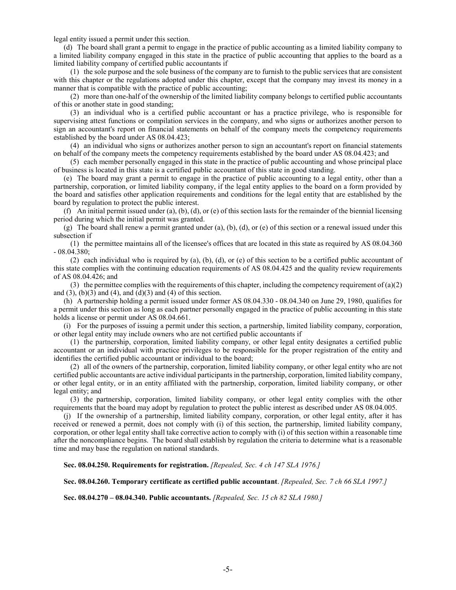legal entity issued a permit under this section.

(d) The board shall grant a permit to engage in the practice of public accounting as a limited liability company to a limited liability company engaged in this state in the practice of public accounting that applies to the board as a limited liability company of certified public accountants if

(1) the sole purpose and the sole business of the company are to furnish to the public services that are consistent with this chapter or the regulations adopted under this chapter, except that the company may invest its money in a manner that is compatible with the practice of public accounting;

(2) more than one-half of the ownership of the limited liability company belongs to certified public accountants of this or another state in good standing;

(3) an individual who is a certified public accountant or has a practice privilege, who is responsible for supervising attest functions or compilation services in the company, and who signs or authorizes another person to sign an accountant's report on financial statements on behalf of the company meets the competency requirements established by the board under AS 08.04.423;

(4) an individual who signs or authorizes another person to sign an accountant's report on financial statements on behalf of the company meets the competency requirements established by the board under AS 08.04.423; and

(5) each member personally engaged in this state in the practice of public accounting and whose principal place of business is located in this state is a certified public accountant of this state in good standing.

(e) The board may grant a permit to engage in the practice of public accounting to a legal entity, other than a partnership, corporation, or limited liability company, if the legal entity applies to the board on a form provided by the board and satisfies other application requirements and conditions for the legal entity that are established by the board by regulation to protect the public interest.

(f) An initial permit issued under (a), (b), (d), or (e) of this section lasts for the remainder of the biennial licensing period during which the initial permit was granted.

(g) The board shall renew a permit granted under (a), (b), (d), or (e) of this section or a renewal issued under this subsection if

(1) the permittee maintains all of the licensee's offices that are located in this state as required by AS 08.04.360 - 08.04.380;

(2) each individual who is required by (a), (b), (d), or (e) of this section to be a certified public accountant of this state complies with the continuing education requirements of AS 08.04.425 and the quality review requirements of AS 08.04.426; and

(3) the permittee complies with the requirements of this chapter, including the competency requirement of  $(a)(2)$ and  $(3)$ ,  $(b)(3)$  and  $(4)$ , and  $(d)(3)$  and  $(4)$  of this section.

(h) A partnership holding a permit issued under former AS 08.04.330 - 08.04.340 on June 29, 1980, qualifies for a permit under this section as long as each partner personally engaged in the practice of public accounting in this state holds a license or permit under AS 08.04.661.

(i) For the purposes of issuing a permit under this section, a partnership, limited liability company, corporation, or other legal entity may include owners who are not certified public accountants if

(1) the partnership, corporation, limited liability company, or other legal entity designates a certified public accountant or an individual with practice privileges to be responsible for the proper registration of the entity and identifies the certified public accountant or individual to the board;

(2) all of the owners of the partnership, corporation, limited liability company, or other legal entity who are not certified public accountants are active individual participants in the partnership, corporation, limited liability company, or other legal entity, or in an entity affiliated with the partnership, corporation, limited liability company, or other legal entity; and

(3) the partnership, corporation, limited liability company, or other legal entity complies with the other requirements that the board may adopt by regulation to protect the public interest as described under AS 08.04.005.

(j) If the ownership of a partnership, limited liability company, corporation, or other legal entity, after it has received or renewed a permit, does not comply with (i) of this section, the partnership, limited liability company, corporation, or other legal entity shall take corrective action to comply with (i) of this section within a reasonable time after the noncompliance begins. The board shall establish by regulation the criteria to determine what is a reasonable time and may base the regulation on national standards.

**Sec. 08.04.250. Requirements for registration.** *[Repealed, Sec. 4 ch 147 SLA 1976.]*

**Sec. 08.04.260. Temporary certificate as certified public accountant**. *[Repealed, Sec. 7 ch 66 SLA 1997.]*

**Sec. 08.04.270 – 08.04.340. Public accountants.** *[Repealed, Sec. 15 ch 82 SLA 1980.]*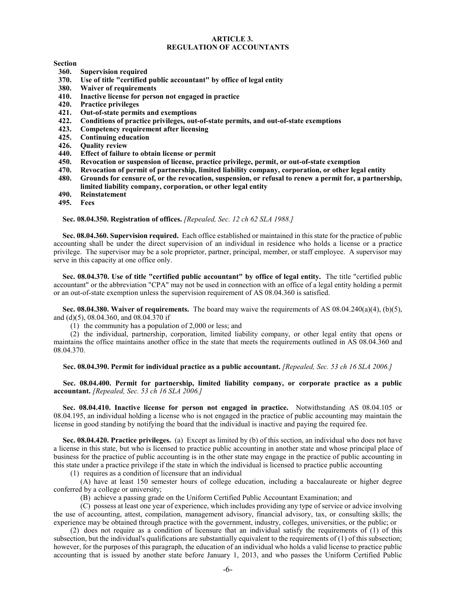#### **ARTICLE 3. REGULATION OF ACCOUNTANTS**

#### **Section**

- **360. Supervision required**
- **370. Use of title "certified public accountant" by office of legal entity**
- **380. Waiver of requirements**
- **410. Inactive license for person not engaged in practice**
- **420. Practice privileges**
- **421. Out-of-state permits and exemptions**
- **422. Conditions of practice privileges, out-of-state permits, and out-of-state exemptions**
- **423. Competency requirement after licensing**
- **425. Continuing education**
- **426. Quality review**
- **440. Effect of failure to obtain license or permit**
- **450. Revocation or suspension of license, practice privilege, permit, or out-of-state exemption**
- **470. Revocation of permit of partnership, limited liability company, corporation, or other legal entity**
- **480. Grounds for censure of, or the revocation, suspension, or refusal to renew a permit for, a partnership, limited liability company, corporation, or other legal entity**
- **490. Reinstatement**
- **495. Fees**

**Sec. 08.04.350. Registration of offices.** *[Repealed, Sec. 12 ch 62 SLA 1988.]*

**Sec. 08.04.360. Supervision required.** Each office established or maintained in this state for the practice of public accounting shall be under the direct supervision of an individual in residence who holds a license or a practice privilege. The supervisor may be a sole proprietor, partner, principal, member, or staff employee. A supervisor may serve in this capacity at one office only.

**Sec. 08.04.370. Use of title "certified public accountant" by office of legal entity.** The title "certified public accountant" or the abbreviation "CPA" may not be used in connection with an office of a legal entity holding a permit or an out-of-state exemption unless the supervision requirement of AS 08.04.360 is satisfied.

**Sec. 08.04.380. Waiver of requirements.** The board may waive the requirements of AS 08.04.240(a)(4), (b)(5), and (d)(5), 08.04.360, and 08.04.370 if

(1) the community has a population of 2,000 or less; and

(2) the individual, partnership, corporation, limited liability company, or other legal entity that opens or maintains the office maintains another office in the state that meets the requirements outlined in AS 08.04.360 and 08.04.370.

**Sec. 08.04.390. Permit for individual practice as a public accountant.** *[Repealed, Sec. 53 ch 16 SLA 2006.]*

**Sec. 08.04.400. Permit for partnership, limited liability company, or corporate practice as a public accountant.** *[Repealed, Sec. 53 ch 16 SLA 2006.]*

**Sec. 08.04.410. Inactive license for person not engaged in practice.** Notwithstanding AS 08.04.105 or 08.04.195, an individual holding a license who is not engaged in the practice of public accounting may maintain the license in good standing by notifying the board that the individual is inactive and paying the required fee.

**Sec. 08.04.420. Practice privileges.** (a) Except as limited by (b) of this section, an individual who does not have a license in this state, but who is licensed to practice public accounting in another state and whose principal place of business for the practice of public accounting is in the other state may engage in the practice of public accounting in this state under a practice privilege if the state in which the individual is licensed to practice public accounting

(1) requires as a condition of licensure that an individual

(A) have at least 150 semester hours of college education, including a baccalaureate or higher degree conferred by a college or university;

(B) achieve a passing grade on the Uniform Certified Public Accountant Examination; and

(C) possess at least one year of experience, which includes providing any type of service or advice involving the use of accounting, attest, compilation, management advisory, financial advisory, tax, or consulting skills; the experience may be obtained through practice with the government, industry, colleges, universities, or the public; or

(2) does not require as a condition of licensure that an individual satisfy the requirements of (1) of this subsection, but the individual's qualifications are substantially equivalent to the requirements of (1) of this subsection; however, for the purposes of this paragraph, the education of an individual who holds a valid license to practice public accounting that is issued by another state before January 1, 2013, and who passes the Uniform Certified Public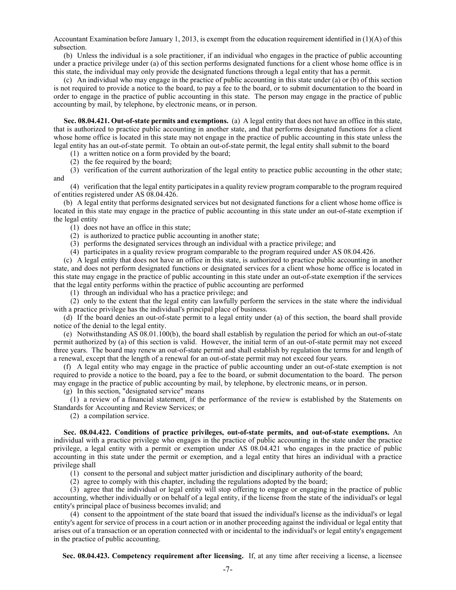Accountant Examination before January 1, 2013, is exempt from the education requirement identified in (1)(A) of this subsection.

(b) Unless the individual is a sole practitioner, if an individual who engages in the practice of public accounting under a practice privilege under (a) of this section performs designated functions for a client whose home office is in this state, the individual may only provide the designated functions through a legal entity that has a permit.

(c) An individual who may engage in the practice of public accounting in this state under (a) or (b) of this section is not required to provide a notice to the board, to pay a fee to the board, or to submit documentation to the board in order to engage in the practice of public accounting in this state. The person may engage in the practice of public accounting by mail, by telephone, by electronic means, or in person.

**Sec. 08.04.421. Out-of-state permits and exemptions.** (a) A legal entity that does not have an office in this state, that is authorized to practice public accounting in another state, and that performs designated functions for a client whose home office is located in this state may not engage in the practice of public accounting in this state unless the legal entity has an out-of-state permit. To obtain an out-of-state permit, the legal entity shall submit to the board

(1) a written notice on a form provided by the board;

(2) the fee required by the board;

(3) verification of the current authorization of the legal entity to practice public accounting in the other state; and

(4) verification that the legal entity participates in a quality review program comparable to the program required of entities registered under AS 08.04.426.

(b) A legal entity that performs designated services but not designated functions for a client whose home office is located in this state may engage in the practice of public accounting in this state under an out-of-state exemption if the legal entity

(1) does not have an office in this state;

(2) is authorized to practice public accounting in another state;

(3) performs the designated services through an individual with a practice privilege; and

(4) participates in a quality review program comparable to the program required under AS 08.04.426.

(c) A legal entity that does not have an office in this state, is authorized to practice public accounting in another state, and does not perform designated functions or designated services for a client whose home office is located in this state may engage in the practice of public accounting in this state under an out-of-state exemption if the services that the legal entity performs within the practice of public accounting are performed

(1) through an individual who has a practice privilege; and

(2) only to the extent that the legal entity can lawfully perform the services in the state where the individual with a practice privilege has the individual's principal place of business.

(d) If the board denies an out-of-state permit to a legal entity under (a) of this section, the board shall provide notice of the denial to the legal entity.

(e) Notwithstanding AS 08.01.100(b), the board shall establish by regulation the period for which an out-of-state permit authorized by (a) of this section is valid. However, the initial term of an out-of-state permit may not exceed three years. The board may renew an out-of-state permit and shall establish by regulation the terms for and length of a renewal, except that the length of a renewal for an out-of-state permit may not exceed four years.

(f) A legal entity who may engage in the practice of public accounting under an out-of-state exemption is not required to provide a notice to the board, pay a fee to the board, or submit documentation to the board. The person may engage in the practice of public accounting by mail, by telephone, by electronic means, or in person.

(g) In this section, "designated service" means

(1) a review of a financial statement, if the performance of the review is established by the Statements on Standards for Accounting and Review Services; or

(2) a compilation service.

**Sec. 08.04.422. Conditions of practice privileges, out-of-state permits, and out-of-state exemptions.** An individual with a practice privilege who engages in the practice of public accounting in the state under the practice privilege, a legal entity with a permit or exemption under AS 08.04.421 who engages in the practice of public accounting in this state under the permit or exemption, and a legal entity that hires an individual with a practice privilege shall

(1) consent to the personal and subject matter jurisdiction and disciplinary authority of the board;

(2) agree to comply with this chapter, including the regulations adopted by the board;

(3) agree that the individual or legal entity will stop offering to engage or engaging in the practice of public accounting, whether individually or on behalf of a legal entity, if the license from the state of the individual's or legal entity's principal place of business becomes invalid; and

(4) consent to the appointment of the state board that issued the individual's license as the individual's or legal entity's agent for service of process in a court action or in another proceeding against the individual or legal entity that arises out of a transaction or an operation connected with or incidental to the individual's or legal entity's engagement in the practice of public accounting.

**Sec. 08.04.423. Competency requirement after licensing.** If, at any time after receiving a license, a licensee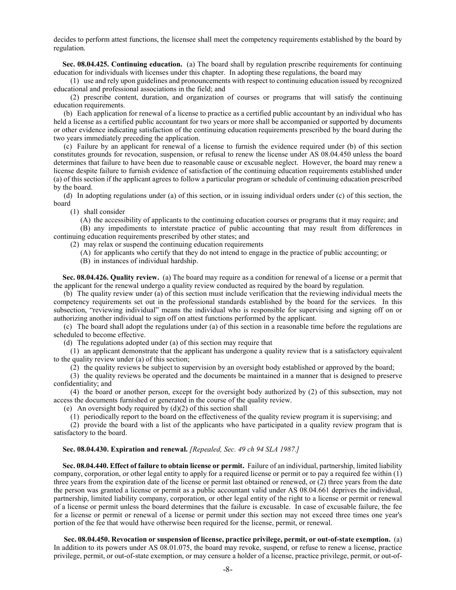decides to perform attest functions, the licensee shall meet the competency requirements established by the board by regulation.

**Sec. 08.04.425. Continuing education.** (a) The board shall by regulation prescribe requirements for continuing education for individuals with licenses under this chapter. In adopting these regulations, the board may

(1) use and rely upon guidelines and pronouncements with respect to continuing education issued by recognized educational and professional associations in the field; and

(2) prescribe content, duration, and organization of courses or programs that will satisfy the continuing education requirements.

(b) Each application for renewal of a license to practice as a certified public accountant by an individual who has held a license as a certified public accountant for two years or more shall be accompanied or supported by documents or other evidence indicating satisfaction of the continuing education requirements prescribed by the board during the two years immediately preceding the application.

(c) Failure by an applicant for renewal of a license to furnish the evidence required under (b) of this section constitutes grounds for revocation, suspension, or refusal to renew the license under AS 08.04.450 unless the board determines that failure to have been due to reasonable cause or excusable neglect. However, the board may renew a license despite failure to furnish evidence of satisfaction of the continuing education requirements established under (a) of this section if the applicant agrees to follow a particular program or schedule of continuing education prescribed by the board.

(d) In adopting regulations under (a) of this section, or in issuing individual orders under (c) of this section, the board

(1) shall consider

(A) the accessibility of applicants to the continuing education courses or programs that it may require; and

(B) any impediments to interstate practice of public accounting that may result from differences in continuing education requirements prescribed by other states; and

(2) may relax or suspend the continuing education requirements

(A) for applicants who certify that they do not intend to engage in the practice of public accounting; or

(B) in instances of individual hardship.

**Sec. 08.04.426. Quality review.** (a) The board may require as a condition for renewal of a license or a permit that the applicant for the renewal undergo a quality review conducted as required by the board by regulation.

(b) The quality review under (a) of this section must include verification that the reviewing individual meets the competency requirements set out in the professional standards established by the board for the services. In this subsection, "reviewing individual" means the individual who is responsible for supervising and signing off on or authorizing another individual to sign off on attest functions performed by the applicant.

(c) The board shall adopt the regulations under (a) of this section in a reasonable time before the regulations are scheduled to become effective.

(d) The regulations adopted under (a) of this section may require that

(1) an applicant demonstrate that the applicant has undergone a quality review that is a satisfactory equivalent to the quality review under (a) of this section;

(2) the quality reviews be subject to supervision by an oversight body established or approved by the board;

(3) the quality reviews be operated and the documents be maintained in a manner that is designed to preserve confidentiality; and

(4) the board or another person, except for the oversight body authorized by (2) of this subsection, may not access the documents furnished or generated in the course of the quality review.

(e) An oversight body required by  $(d)(2)$  of this section shall

(1) periodically report to the board on the effectiveness of the quality review program it is supervising; and

(2) provide the board with a list of the applicants who have participated in a quality review program that is satisfactory to the board.

#### **Sec. 08.04.430. Expiration and renewal.** *[Repealed, Sec. 49 ch 94 SLA 1987.]*

**Sec. 08.04.440. Effect of failure to obtain license or permit.** Failure of an individual, partnership, limited liability company, corporation, or other legal entity to apply for a required license or permit or to pay a required fee within (1) three years from the expiration date of the license or permit last obtained or renewed, or (2) three years from the date the person was granted a license or permit as a public accountant valid under AS 08.04.661 deprives the individual, partnership, limited liability company, corporation, or other legal entity of the right to a license or permit or renewal of a license or permit unless the board determines that the failure is excusable. In case of excusable failure, the fee for a license or permit or renewal of a license or permit under this section may not exceed three times one year's portion of the fee that would have otherwise been required for the license, permit, or renewal.

**Sec. 08.04.450. Revocation or suspension of license, practice privilege, permit, or out-of-state exemption.** (a) In addition to its powers under AS 08.01.075, the board may revoke, suspend, or refuse to renew a license, practice privilege, permit, or out-of-state exemption, or may censure a holder of a license, practice privilege, permit, or out-of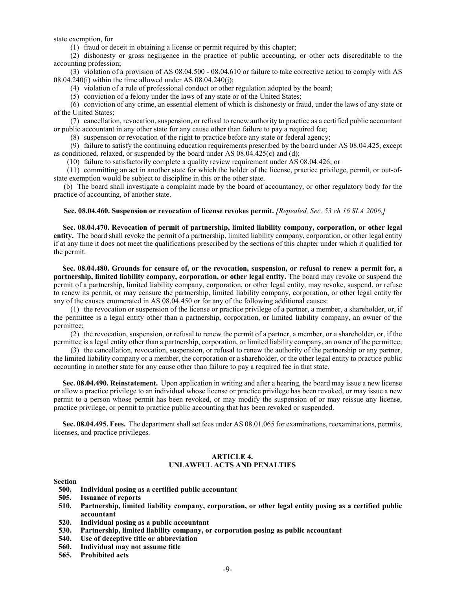state exemption, for

(1) fraud or deceit in obtaining a license or permit required by this chapter;

(2) dishonesty or gross negligence in the practice of public accounting, or other acts discreditable to the accounting profession;

(3) violation of a provision of AS 08.04.500 - 08.04.610 or failure to take corrective action to comply with AS  $08.04.240(i)$  within the time allowed under AS  $08.04.240(i)$ ;

(4) violation of a rule of professional conduct or other regulation adopted by the board;

(5) conviction of a felony under the laws of any state or of the United States;

(6) conviction of any crime, an essential element of which is dishonesty or fraud, under the laws of any state or of the United States;

(7) cancellation, revocation, suspension, or refusal to renew authority to practice as a certified public accountant or public accountant in any other state for any cause other than failure to pay a required fee;

(8) suspension or revocation of the right to practice before any state or federal agency;

(9) failure to satisfy the continuing education requirements prescribed by the board under AS 08.04.425, except as conditioned, relaxed, or suspended by the board under AS  $08.04.425(c)$  and (d);

(10) failure to satisfactorily complete a quality review requirement under AS 08.04.426; or

(11) committing an act in another state for which the holder of the license, practice privilege, permit, or out-ofstate exemption would be subject to discipline in this or the other state.

(b) The board shall investigate a complaint made by the board of accountancy, or other regulatory body for the practice of accounting, of another state.

#### **Sec. 08.04.460. Suspension or revocation of license revokes permit.** *[Repealed, Sec. 53 ch 16 SLA 2006.]*

**Sec. 08.04.470. Revocation of permit of partnership, limited liability company, corporation, or other legal entity.** The board shall revoke the permit of a partnership, limited liability company, corporation, or other legal entity if at any time it does not meet the qualifications prescribed by the sections of this chapter under which it qualified for the permit.

**Sec. 08.04.480. Grounds for censure of, or the revocation, suspension, or refusal to renew a permit for, a partnership, limited liability company, corporation, or other legal entity.** The board may revoke or suspend the permit of a partnership, limited liability company, corporation, or other legal entity, may revoke, suspend, or refuse to renew its permit, or may censure the partnership, limited liability company, corporation, or other legal entity for any of the causes enumerated in AS 08.04.450 or for any of the following additional causes:

(1) the revocation or suspension of the license or practice privilege of a partner, a member, a shareholder, or, if the permittee is a legal entity other than a partnership, corporation, or limited liability company, an owner of the permittee;

(2) the revocation, suspension, or refusal to renew the permit of a partner, a member, or a shareholder, or, if the permittee is a legal entity other than a partnership, corporation, or limited liability company, an owner of the permittee;

(3) the cancellation, revocation, suspension, or refusal to renew the authority of the partnership or any partner, the limited liability company or a member, the corporation or a shareholder, or the other legal entity to practice public accounting in another state for any cause other than failure to pay a required fee in that state.

**Sec. 08.04.490. Reinstatement.** Upon application in writing and after a hearing, the board may issue a new license or allow a practice privilege to an individual whose license or practice privilege has been revoked, or may issue a new permit to a person whose permit has been revoked, or may modify the suspension of or may reissue any license, practice privilege, or permit to practice public accounting that has been revoked or suspended.

**Sec. 08.04.495. Fees.** The department shall set fees under AS 08.01.065 for examinations, reexaminations, permits, licenses, and practice privileges.

#### **ARTICLE 4. UNLAWFUL ACTS AND PENALTIES**

#### **Section**

- **500. Individual posing as a certified public accountant**
- **505. Issuance of reports**
- **510. Partnership, limited liability company, corporation, or other legal entity posing as a certified public accountant**
- **520. Individual posing as a public accountant**
- **530. Partnership, limited liability company, or corporation posing as public accountant**
- **540. Use of deceptive title or abbreviation**
- **560. Individual may not assume title**
- **565. Prohibited acts**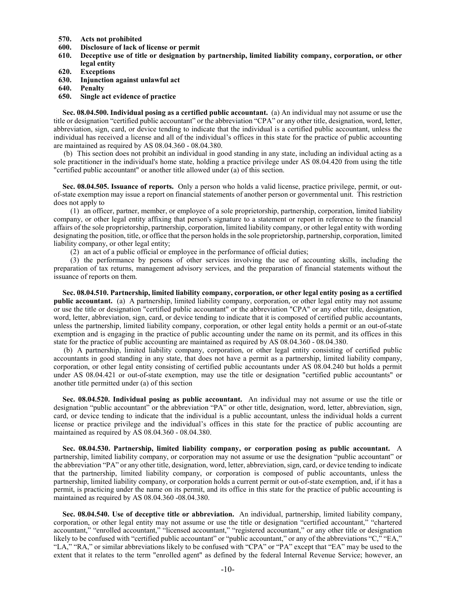- **570. Acts not prohibited**
- **600. Disclosure of lack of license or permit**
- **610. Deceptive use of title or designation by partnership, limited liability company, corporation, or other legal entity**
- **620. Exceptions**
- **630. Injunction against unlawful act**
- **640. Penalty**
- **650. Single act evidence of practice**

**Sec. 08.04.500. Individual posing as a certified public accountant.** (a) An individual may not assume or use the title or designation "certified public accountant" or the abbreviation "CPA" or any other title, designation, word, letter, abbreviation, sign, card, or device tending to indicate that the individual is a certified public accountant, unless the individual has received a license and all of the individual's offices in this state for the practice of public accounting are maintained as required by AS 08.04.360 - 08.04.380.

(b) This section does not prohibit an individual in good standing in any state, including an individual acting as a sole practitioner in the individual's home state, holding a practice privilege under AS 08.04.420 from using the title "certified public accountant" or another title allowed under (a) of this section.

**Sec. 08.04.505. Issuance of reports.** Only a person who holds a valid license, practice privilege, permit, or outof-state exemption may issue a report on financial statements of another person or governmental unit. This restriction does not apply to

(1) an officer, partner, member, or employee of a sole proprietorship, partnership, corporation, limited liability company, or other legal entity affixing that person's signature to a statement or report in reference to the financial affairs of the sole proprietorship, partnership, corporation, limited liability company, or other legal entity with wording designating the position, title, or office that the person holds in the sole proprietorship, partnership, corporation, limited liability company, or other legal entity;

(2) an act of a public official or employee in the performance of official duties;

(3) the performance by persons of other services involving the use of accounting skills, including the preparation of tax returns, management advisory services, and the preparation of financial statements without the issuance of reports on them.

**Sec. 08.04.510. Partnership, limited liability company, corporation, or other legal entity posing as a certified public accountant.** (a) A partnership, limited liability company, corporation, or other legal entity may not assume or use the title or designation "certified public accountant" or the abbreviation "CPA" or any other title, designation, word, letter, abbreviation, sign, card, or device tending to indicate that it is composed of certified public accountants, unless the partnership, limited liability company, corporation, or other legal entity holds a permit or an out-of-state exemption and is engaging in the practice of public accounting under the name on its permit, and its offices in this state for the practice of public accounting are maintained as required by AS 08.04.360 - 08.04.380.

(b) A partnership, limited liability company, corporation, or other legal entity consisting of certified public accountants in good standing in any state, that does not have a permit as a partnership, limited liability company, corporation, or other legal entity consisting of certified public accountants under AS 08.04.240 but holds a permit under AS 08.04.421 or out-of-state exemption, may use the title or designation "certified public accountants" or another title permitted under (a) of this section

**Sec. 08.04.520. Individual posing as public accountant.** An individual may not assume or use the title or designation "public accountant" or the abbreviation "PA" or other title, designation, word, letter, abbreviation, sign, card, or device tending to indicate that the individual is a public accountant, unless the individual holds a current license or practice privilege and the individual's offices in this state for the practice of public accounting are maintained as required by AS 08.04.360 - 08.04.380.

**Sec. 08.04.530. Partnership, limited liability company, or corporation posing as public accountant.** A partnership, limited liability company, or corporation may not assume or use the designation "public accountant" or the abbreviation "PA" or any other title, designation, word, letter, abbreviation, sign, card, or device tending to indicate that the partnership, limited liability company, or corporation is composed of public accountants, unless the partnership, limited liability company, or corporation holds a current permit or out-of-state exemption, and, if it has a permit, is practicing under the name on its permit, and its office in this state for the practice of public accounting is maintained as required by AS 08.04.360 -08.04.380.

**Sec. 08.04.540. Use of deceptive title or abbreviation.** An individual, partnership, limited liability company, corporation, or other legal entity may not assume or use the title or designation "certified accountant," "chartered accountant," "enrolled accountant," "licensed accountant," "registered accountant," or any other title or designation likely to be confused with "certified public accountant" or "public accountant," or any of the abbreviations "C," "EA," "LA," "RA," or similar abbreviations likely to be confused with "CPA" or "PA" except that "EA" may be used to the extent that it relates to the term "enrolled agent" as defined by the federal Internal Revenue Service; however, an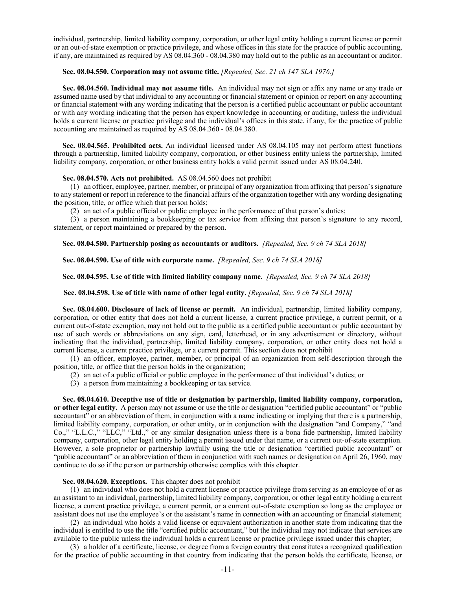individual, partnership, limited liability company, corporation, or other legal entity holding a current license or permit or an out-of-state exemption or practice privilege, and whose offices in this state for the practice of public accounting, if any, are maintained as required by AS 08.04.360 - 08.04.380 may hold out to the public as an accountant or auditor.

#### **Sec. 08.04.550. Corporation may not assume title.** *[Repealed, Sec. 21 ch 147 SLA 1976.]*

**Sec. 08.04.560. Individual may not assume title.** An individual may not sign or affix any name or any trade or assumed name used by that individual to any accounting or financial statement or opinion or report on any accounting or financial statement with any wording indicating that the person is a certified public accountant or public accountant or with any wording indicating that the person has expert knowledge in accounting or auditing, unless the individual holds a current license or practice privilege and the individual's offices in this state, if any, for the practice of public accounting are maintained as required by AS 08.04.360 - 08.04.380.

**Sec. 08.04.565. Prohibited acts.** An individual licensed under AS 08.04.105 may not perform attest functions through a partnership, limited liability company, corporation, or other business entity unless the partnership, limited liability company, corporation, or other business entity holds a valid permit issued under AS 08.04.240.

#### **Sec. 08.04.570. Acts not prohibited.** AS 08.04.560 does not prohibit

(1) an officer, employee, partner, member, or principal of any organization from affixing that person's signature to any statement or report in reference to the financial affairs of the organization together with any wording designating the position, title, or office which that person holds;

(2) an act of a public official or public employee in the performance of that person's duties;

(3) a person maintaining a bookkeeping or tax service from affixing that person's signature to any record, statement, or report maintained or prepared by the person.

**Sec. 08.04.580. Partnership posing as accountants or auditors.** *[Repealed, Sec. 9 ch 74 SLA 2018]*

**Sec. 08.04.590. Use of title with corporate name.** *[Repealed, Sec. 9 ch 74 SLA 2018]*

**Sec. 08.04.595. Use of title with limited liability company name.** *[Repealed, Sec. 9 ch 74 SLA 2018]*

#### **Sec. 08.04.598. Use of title with name of other legal entity.** *[Repealed, Sec. 9 ch 74 SLA 2018]*

**Sec. 08.04.600. Disclosure of lack of license or permit.** An individual, partnership, limited liability company, corporation, or other entity that does not hold a current license, a current practice privilege, a current permit, or a current out-of-state exemption, may not hold out to the public as a certified public accountant or public accountant by use of such words or abbreviations on any sign, card, letterhead, or in any advertisement or directory, without indicating that the individual, partnership, limited liability company, corporation, or other entity does not hold a current license, a current practice privilege, or a current permit. This section does not prohibit

(1) an officer, employee, partner, member, or principal of an organization from self-description through the position, title, or office that the person holds in the organization;

(2) an act of a public official or public employee in the performance of that individual's duties; or

(3) a person from maintaining a bookkeeping or tax service.

**Sec. 08.04.610. Deceptive use of title or designation by partnership, limited liability company, corporation, or other legal entity.** A person may not assume or use the title or designation "certified public accountant" or "public accountant" or an abbreviation of them, in conjunction with a name indicating or implying that there is a partnership, limited liability company, corporation, or other entity, or in conjunction with the designation "and Company," "and Co.," "L.L.C.," "LLC," "Ltd.," or any similar designation unless there is a bona fide partnership, limited liability company, corporation, other legal entity holding a permit issued under that name, or a current out-of-state exemption. However, a sole proprietor or partnership lawfully using the title or designation "certified public accountant" or "public accountant" or an abbreviation of them in conjunction with such names or designation on April 26, 1960, may continue to do so if the person or partnership otherwise complies with this chapter.

# **Sec. 08.04.620. Exceptions.** This chapter does not prohibit

(1) an individual who does not hold a current license or practice privilege from serving as an employee of or as an assistant to an individual, partnership, limited liability company, corporation, or other legal entity holding a current license, a current practice privilege, a current permit, or a current out-of-state exemption so long as the employee or assistant does not use the employee's or the assistant's name in connection with an accounting or financial statement;

(2) an individual who holds a valid license or equivalent authorization in another state from indicating that the individual is entitled to use the title "certified public accountant," but the individual may not indicate that services are available to the public unless the individual holds a current license or practice privilege issued under this chapter;

(3) a holder of a certificate, license, or degree from a foreign country that constitutes a recognized qualification for the practice of public accounting in that country from indicating that the person holds the certificate, license, or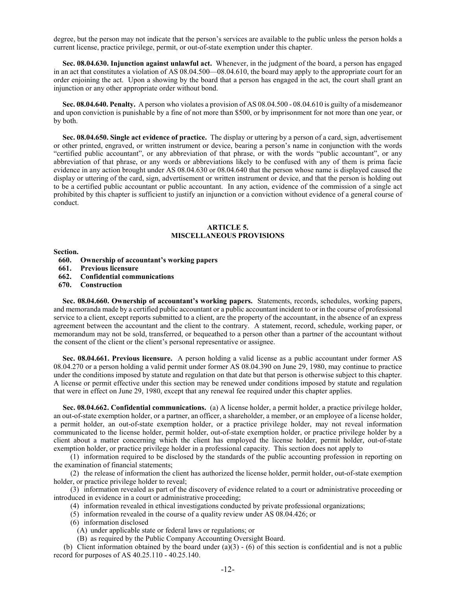degree, but the person may not indicate that the person's services are available to the public unless the person holds a current license, practice privilege, permit, or out-of-state exemption under this chapter.

**Sec. 08.04.630. Injunction against unlawful act.** Whenever, in the judgment of the board, a person has engaged in an act that constitutes a violation of AS 08.04.500—08.04.610, the board may apply to the appropriate court for an order enjoining the act. Upon a showing by the board that a person has engaged in the act, the court shall grant an injunction or any other appropriate order without bond.

**Sec. 08.04.640. Penalty.** A person who violates a provision of AS 08.04.500 - 08.04.610 is guilty of a misdemeanor and upon conviction is punishable by a fine of not more than \$500, or by imprisonment for not more than one year, or by both.

**Sec. 08.04.650. Single act evidence of practice.** The display or uttering by a person of a card, sign, advertisement or other printed, engraved, or written instrument or device, bearing a person's name in conjunction with the words "certified public accountant", or any abbreviation of that phrase, or with the words "public accountant", or any abbreviation of that phrase, or any words or abbreviations likely to be confused with any of them is prima facie evidence in any action brought under AS 08.04.630 or 08.04.640 that the person whose name is displayed caused the display or uttering of the card, sign, advertisement or written instrument or device, and that the person is holding out to be a certified public accountant or public accountant. In any action, evidence of the commission of a single act prohibited by this chapter is sufficient to justify an injunction or a conviction without evidence of a general course of conduct.

# **ARTICLE 5. MISCELLANEOUS PROVISIONS**

**Section.**

- **660. Ownership of accountant's working papers**
- **661. Previous licensure**
- **662. Confidential communications**
- **670. Construction**

**Sec. 08.04.660. Ownership of accountant's working papers.** Statements, records, schedules, working papers, and memoranda made by a certified public accountant or a public accountant incident to or in the course of professional service to a client, except reports submitted to a client, are the property of the accountant, in the absence of an express agreement between the accountant and the client to the contrary. A statement, record, schedule, working paper, or memorandum may not be sold, transferred, or bequeathed to a person other than a partner of the accountant without the consent of the client or the client's personal representative or assignee.

**Sec. 08.04.661. Previous licensure.** A person holding a valid license as a public accountant under former AS 08.04.270 or a person holding a valid permit under former AS 08.04.390 on June 29, 1980, may continue to practice under the conditions imposed by statute and regulation on that date but that person is otherwise subject to this chapter. A license or permit effective under this section may be renewed under conditions imposed by statute and regulation that were in effect on June 29, 1980, except that any renewal fee required under this chapter applies.

**Sec. 08.04.662. Confidential communications.** (a) A license holder, a permit holder, a practice privilege holder, an out-of-state exemption holder, or a partner, an officer, a shareholder, a member, or an employee of a license holder, a permit holder, an out-of-state exemption holder, or a practice privilege holder, may not reveal information communicated to the license holder, permit holder, out-of-state exemption holder, or practice privilege holder by a client about a matter concerning which the client has employed the license holder, permit holder, out-of-state exemption holder, or practice privilege holder in a professional capacity. This section does not apply to

(1) information required to be disclosed by the standards of the public accounting profession in reporting on the examination of financial statements;

(2) the release of information the client has authorized the license holder, permit holder, out-of-state exemption holder, or practice privilege holder to reveal;

(3) information revealed as part of the discovery of evidence related to a court or administrative proceeding or introduced in evidence in a court or administrative proceeding;

- (4) information revealed in ethical investigations conducted by private professional organizations;
- (5) information revealed in the course of a quality review under AS 08.04.426; or
- (6) information disclosed
	- (A) under applicable state or federal laws or regulations; or
- (B) as required by the Public Company Accounting Oversight Board.

(b) Client information obtained by the board under  $(a)(3) - (6)$  of this section is confidential and is not a public record for purposes of AS 40.25.110 - 40.25.140.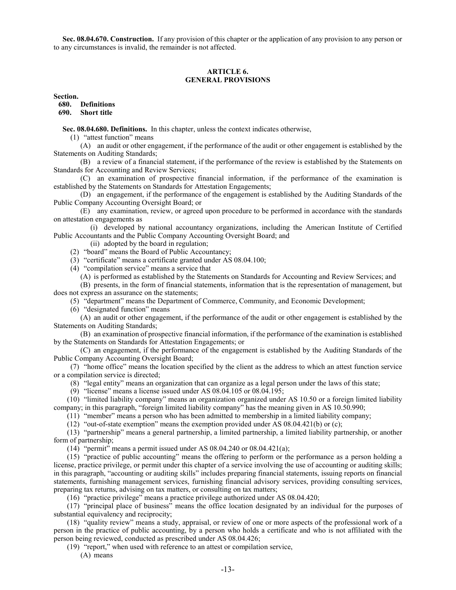**Sec. 08.04.670. Construction.** If any provision of this chapter or the application of any provision to any person or to any circumstances is invalid, the remainder is not affected.

#### **ARTICLE 6. GENERAL PROVISIONS**

**Section.**

**680. Definitions 690. Short title**

**Sec. 08.04.680. Definitions.** In this chapter, unless the context indicates otherwise,

(1) "attest function" means

(A) an audit or other engagement, if the performance of the audit or other engagement is established by the Statements on Auditing Standards;

(B) a review of a financial statement, if the performance of the review is established by the Statements on Standards for Accounting and Review Services;

(C) an examination of prospective financial information, if the performance of the examination is established by the Statements on Standards for Attestation Engagements;

(D) an engagement, if the performance of the engagement is established by the Auditing Standards of the Public Company Accounting Oversight Board; or

(E) any examination, review, or agreed upon procedure to be performed in accordance with the standards on attestation engagements as

(i) developed by national accountancy organizations, including the American Institute of Certified Public Accountants and the Public Company Accounting Oversight Board; and

(ii) adopted by the board in regulation;

(2) "board" means the Board of Public Accountancy;

(3) "certificate" means a certificate granted under AS 08.04.100;

(4) "compilation service" means a service that

(A) is performed as established by the Statements on Standards for Accounting and Review Services; and

(B) presents, in the form of financial statements, information that is the representation of management, but does not express an assurance on the statements;

(5) "department" means the Department of Commerce, Community, and Economic Development;

(6) "designated function" means

(A) an audit or other engagement, if the performance of the audit or other engagement is established by the Statements on Auditing Standards;

(B) an examination of prospective financial information, if the performance of the examination is established by the Statements on Standards for Attestation Engagements; or

(C) an engagement, if the performance of the engagement is established by the Auditing Standards of the Public Company Accounting Oversight Board;

(7) "home office" means the location specified by the client as the address to which an attest function service or a compilation service is directed;

(8) "legal entity" means an organization that can organize as a legal person under the laws of this state;

(9) "license" means a license issued under AS 08.04.105 or 08.04.195;

(10) "limited liability company" means an organization organized under AS 10.50 or a foreign limited liability company; in this paragraph, "foreign limited liability company" has the meaning given in AS 10.50.990;

(11) "member" means a person who has been admitted to membership in a limited liability company;

(12) "out-of-state exemption" means the exemption provided under AS  $08.04.421(b)$  or (c);

(13) "partnership" means a general partnership, a limited partnership, a limited liability partnership, or another form of partnership;

(14) "permit" means a permit issued under AS 08.04.240 or 08.04.421(a);

(15) "practice of public accounting" means the offering to perform or the performance as a person holding a license, practice privilege, or permit under this chapter of a service involving the use of accounting or auditing skills; in this paragraph, "accounting or auditing skills" includes preparing financial statements, issuing reports on financial statements, furnishing management services, furnishing financial advisory services, providing consulting services, preparing tax returns, advising on tax matters, or consulting on tax matters;

(16) "practice privilege" means a practice privilege authorized under AS 08.04.420;

(17) "principal place of business" means the office location designated by an individual for the purposes of substantial equivalency and reciprocity;

(18) "quality review" means a study, appraisal, or review of one or more aspects of the professional work of a person in the practice of public accounting, by a person who holds a certificate and who is not affiliated with the person being reviewed, conducted as prescribed under AS 08.04.426;

(19) "report," when used with reference to an attest or compilation service,

(A) means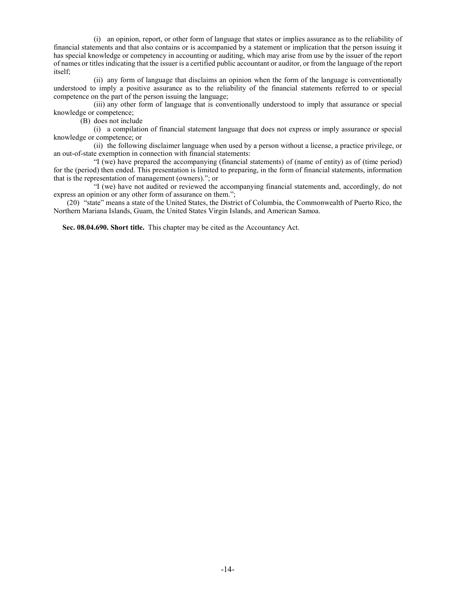(i) an opinion, report, or other form of language that states or implies assurance as to the reliability of financial statements and that also contains or is accompanied by a statement or implication that the person issuing it has special knowledge or competency in accounting or auditing, which may arise from use by the issuer of the report of names or titles indicating that the issuer is a certified public accountant or auditor, or from the language of the report itself;

(ii) any form of language that disclaims an opinion when the form of the language is conventionally understood to imply a positive assurance as to the reliability of the financial statements referred to or special competence on the part of the person issuing the language;

(iii) any other form of language that is conventionally understood to imply that assurance or special knowledge or competence;

(B) does not include

(i) a compilation of financial statement language that does not express or imply assurance or special knowledge or competence; or

(ii) the following disclaimer language when used by a person without a license, a practice privilege, or an out-of-state exemption in connection with financial statements:

"I (we) have prepared the accompanying (financial statements) of (name of entity) as of (time period) for the (period) then ended. This presentation is limited to preparing, in the form of financial statements, information that is the representation of management (owners)."; or

"I (we) have not audited or reviewed the accompanying financial statements and, accordingly, do not express an opinion or any other form of assurance on them.";

(20) "state" means a state of the United States, the District of Columbia, the Commonwealth of Puerto Rico, the Northern Mariana Islands, Guam, the United States Virgin Islands, and American Samoa.

**Sec. 08.04.690. Short title.** This chapter may be cited as the Accountancy Act.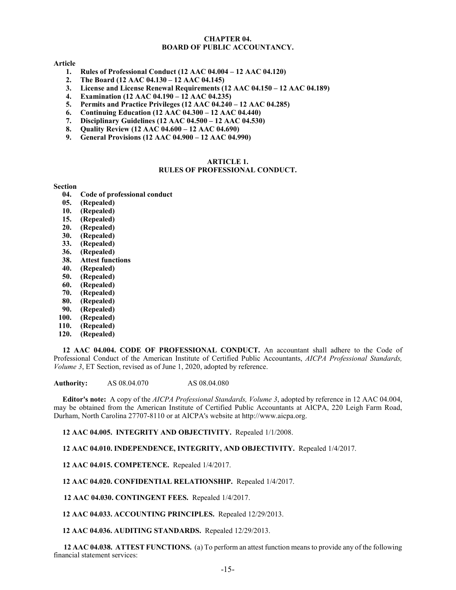# **CHAPTER 04. BOARD OF PUBLIC ACCOUNTANCY.**

# **Article**

- **1. Rules of Professional Conduct (12 AAC 04.004 – 12 AAC 04.120)**
- **2. The Board (12 AAC 04.130 – 12 AAC 04.145)**
- **3. License and License Renewal Requirements (12 AAC 04.150 – 12 AAC 04.189)**
- **4. Examination (12 AAC 04.190 – 12 AAC 04.235)**
- **5. Permits and Practice Privileges (12 AAC 04.240 – 12 AAC 04.285)**
- **6. Continuing Education (12 AAC 04.300 – 12 AAC 04.440)**
- **7. Disciplinary Guidelines (12 AAC 04.500 – 12 AAC 04.530)**
- **8. Quality Review (12 AAC 04.600 – 12 AAC 04.690)**
- **9. General Provisions (12 AAC 04.900 – 12 AAC 04.990)**

#### **ARTICLE 1. RULES OF PROFESSIONAL CONDUCT.**

#### **Section**

- **04. Code of professional conduct**
- **05. (Repealed)**
- **10. (Repealed)**
- **15. (Repealed)**
- **20. (Repealed)**
- **30. (Repealed)**
- **33. (Repealed)**
- **36. (Repealed)**
- **38. Attest functions**
- **40. (Repealed)**
- **50. (Repealed)**
- **60. (Repealed)**
- **70. (Repealed)**
- **80. (Repealed)**
- **90. (Repealed)**
- **100. (Repealed)**
- **110. (Repealed)**
- **120. (Repealed)**

**12 AAC 04.004. CODE OF PROFESSIONAL CONDUCT.** An accountant shall adhere to the Code of Professional Conduct of the American Institute of Certified Public Accountants, *AICPA Professional Standards, Volume 3*, ET Section, revised as of June 1, 2020, adopted by reference.

**Authority:** AS 08.04.070 AS 08.04.080

**Editor's note:** A copy of the *AICPA Professional Standards, Volume 3*, adopted by reference in 12 AAC 04.004, may be obtained from the American Institute of Certified Public Accountants at AICPA, 220 Leigh Farm Road, Durham, North Carolina 27707-8110 or at AICPA's website at http://www.aicpa.org.

**12 AAC 04.005. INTEGRITY AND OBJECTIVITY.** Repealed 1/1/2008.

**12 AAC 04.010. INDEPENDENCE, INTEGRITY, AND OBJECTIVITY.** Repealed 1/4/2017.

**12 AAC 04.015. COMPETENCE.** Repealed 1/4/2017.

**12 AAC 04.020. CONFIDENTIAL RELATIONSHIP.** Repealed 1/4/2017.

**12 AAC 04.030. CONTINGENT FEES.** Repealed 1/4/2017.

**12 AAC 04.033. ACCOUNTING PRINCIPLES.** Repealed 12/29/2013.

**12 AAC 04.036. AUDITING STANDARDS.** Repealed 12/29/2013.

**12 AAC 04.038. ATTEST FUNCTIONS.** (a) To perform an attest function means to provide any of the following financial statement services: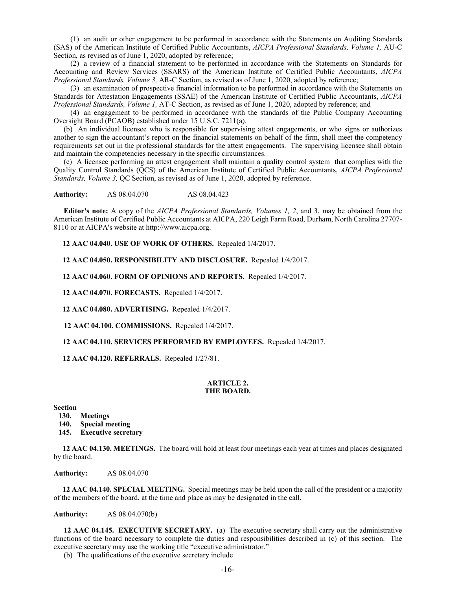(1) an audit or other engagement to be performed in accordance with the Statements on Auditing Standards (SAS) of the American Institute of Certified Public Accountants, *AICPA Professional Standards, Volume 1,* AU-C Section, as revised as of June 1, 2020, adopted by reference;

(2) a review of a financial statement to be performed in accordance with the Statements on Standards for Accounting and Review Services (SSARS) of the American Institute of Certified Public Accountants, *AICPA Professional Standards, Volume 3,* AR-C Section, as revised as of June 1, 2020, adopted by reference;

(3) an examination of prospective financial information to be performed in accordance with the Statements on Standards for Attestation Engagements (SSAE) of the American Institute of Certified Public Accountants, *AICPA Professional Standards, Volume 1,* AT-C Section, as revised as of June 1, 2020, adopted by reference; and

(4) an engagement to be performed in accordance with the standards of the Public Company Accounting Oversight Board (PCAOB) established under 15 U.S.C. 7211(a).

(b) An individual licensee who is responsible for supervising attest engagements, or who signs or authorizes another to sign the accountant's report on the financial statements on behalf of the firm, shall meet the competency requirements set out in the professional standards for the attest engagements. The supervising licensee shall obtain and maintain the competencies necessary in the specific circumstances.

(c) A licensee performing an attest engagement shall maintain a quality control system that complies with the Quality Control Standards (QCS) of the American Institute of Certified Public Accountants, *AICPA Professional Standards, Volume 3,* QC Section, as revised as of June 1, 2020, adopted by reference.

**Authority:** AS 08.04.070 AS 08.04.423

**Editor's note:** A copy of the *AICPA Professional Standards, Volumes 1, 2*, and 3, may be obtained from the American Institute of Certified Public Accountants at AICPA, 220 Leigh Farm Road, Durham, North Carolina 27707- 8110 or at AICPA's website at http://www.aicpa.org.

**12 AAC 04.040. USE OF WORK OF OTHERS.** Repealed 1/4/2017.

**12 AAC 04.050. RESPONSIBILITY AND DISCLOSURE.** Repealed 1/4/2017.

**12 AAC 04.060. FORM OF OPINIONS AND REPORTS.** Repealed 1/4/2017.

**12 AAC 04.070. FORECASTS.** Repealed 1/4/2017.

**12 AAC 04.080. ADVERTISING.** Repealed 1/4/2017.

**12 AAC 04.100. COMMISSIONS.** Repealed 1/4/2017.

**12 AAC 04.110. SERVICES PERFORMED BY EMPLOYEES.** Repealed 1/4/2017.

**12 AAC 04.120. REFERRALS.** Repealed 1/27/81.

#### **ARTICLE 2. THE BOARD.**

**Section**

- **130. Meetings**
- **140. Special meeting**
- **145. Executive secretary**

**12 AAC 04.130. MEETINGS.** The board will hold at least four meetings each year at times and places designated by the board.

**Authority:** AS 08.04.070

**12 AAC 04.140. SPECIAL MEETING.** Special meetings may be held upon the call of the president or a majority of the members of the board, at the time and place as may be designated in the call.

**Authority:** AS 08.04.070(b)

**12 AAC 04.145. EXECUTIVE SECRETARY.** (a) The executive secretary shall carry out the administrative functions of the board necessary to complete the duties and responsibilities described in (c) of this section. The executive secretary may use the working title "executive administrator."

(b) The qualifications of the executive secretary include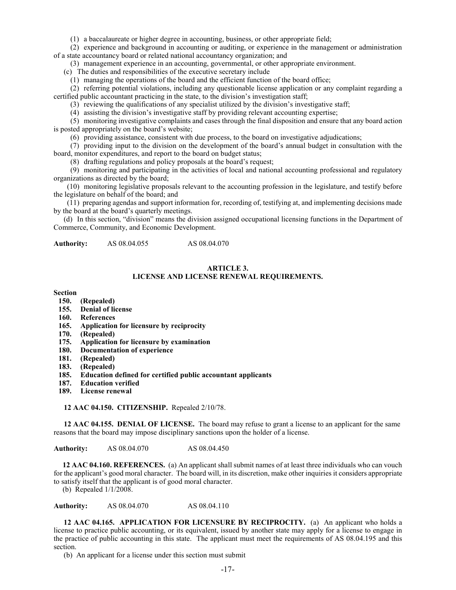(1) a baccalaureate or higher degree in accounting, business, or other appropriate field;

(2) experience and background in accounting or auditing, or experience in the management or administration of a state accountancy board or related national accountancy organization; and

(3) management experience in an accounting, governmental, or other appropriate environment.

(c) The duties and responsibilities of the executive secretary include

(1) managing the operations of the board and the efficient function of the board office;

(2) referring potential violations, including any questionable license application or any complaint regarding a certified public accountant practicing in the state, to the division's investigation staff;

(3) reviewing the qualifications of any specialist utilized by the division's investigative staff;

(4) assisting the division's investigative staff by providing relevant accounting expertise;

(5) monitoring investigative complaints and cases through the final disposition and ensure that any board action is posted appropriately on the board's website;

(6) providing assistance, consistent with due process, to the board on investigative adjudications;

(7) providing input to the division on the development of the board's annual budget in consultation with the board, monitor expenditures, and report to the board on budget status;

(8) drafting regulations and policy proposals at the board's request;

(9) monitoring and participating in the activities of local and national accounting professional and regulatory organizations as directed by the board;

(10) monitoring legislative proposals relevant to the accounting profession in the legislature, and testify before the legislature on behalf of the board; and

(11) preparing agendas and support information for, recording of, testifying at, and implementing decisions made by the board at the board's quarterly meetings.

(d) In this section, "division" means the division assigned occupational licensing functions in the Department of Commerce, Community, and Economic Development.

**Authority:** AS 08.04.055 AS 08.04.070

#### **ARTICLE 3.**

# **LICENSE AND LICENSE RENEWAL REQUIREMENTS.**

#### **Section**

- **150. (Repealed)**
- **155. Denial of license**
- **160. References**
- **165. Application for licensure by reciprocity**
- **170. (Repealed)**
- **175. Application for licensure by examination**
- **180. Documentation of experience**
- **181. (Repealed)**
- **183. (Repealed)**
- **185. Education defined for certified public accountant applicants**
- **187. Education verified**
- **189. License renewal**

**12 AAC 04.150. CITIZENSHIP.** Repealed 2/10/78.

**12 AAC 04.155. DENIAL OF LICENSE.** The board may refuse to grant a license to an applicant for the same reasons that the board may impose disciplinary sanctions upon the holder of a license.

**Authority:** AS 08.04.070 AS 08.04.450

**12 AAC 04.160. REFERENCES.** (a) An applicant shall submit names of at least three individuals who can vouch for the applicant's good moral character. The board will, in its discretion, make other inquiries it considers appropriate to satisfy itself that the applicant is of good moral character.

(b) Repealed 1/1/2008.

**Authority:** AS 08.04.070 AS 08.04.110

**12 AAC 04.165. APPLICATION FOR LICENSURE BY RECIPROCITY.** (a) An applicant who holds a license to practice public accounting, or its equivalent, issued by another state may apply for a license to engage in the practice of public accounting in this state. The applicant must meet the requirements of AS 08.04.195 and this section.

(b) An applicant for a license under this section must submit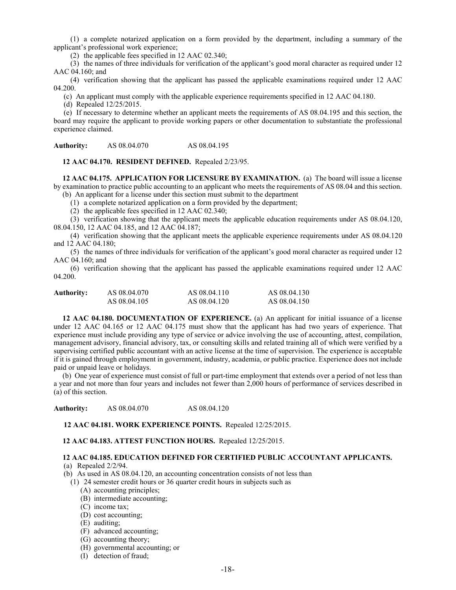(1) a complete notarized application on a form provided by the department, including a summary of the applicant's professional work experience;

(2) the applicable fees specified in 12 AAC 02.340;

(3) the names of three individuals for verification of the applicant's good moral character as required under 12 AAC 04.160; and

(4) verification showing that the applicant has passed the applicable examinations required under 12 AAC 04.200.

(c) An applicant must comply with the applicable experience requirements specified in 12 AAC 04.180.

(d) Repealed 12/25/2015.

(e) If necessary to determine whether an applicant meets the requirements of AS 08.04.195 and this section, the board may require the applicant to provide working papers or other documentation to substantiate the professional experience claimed.

**Authority:** AS 08.04.070 AS 08.04.195

**12 AAC 04.170. RESIDENT DEFINED.** Repealed 2/23/95.

**12 AAC 04.175. APPLICATION FOR LICENSURE BY EXAMINATION.** (a) The board will issue a license by examination to practice public accounting to an applicant who meets the requirements of AS 08.04 and this section. (b) An applicant for a license under this section must submit to the department

(1) a complete notarized application on a form provided by the department;

(2) the applicable fees specified in 12 AAC 02.340;

(3) verification showing that the applicant meets the applicable education requirements under AS 08.04.120, 08.04.150, 12 AAC 04.185, and 12 AAC 04.187;

(4) verification showing that the applicant meets the applicable experience requirements under AS 08.04.120 and 12 AAC 04.180;

(5) the names of three individuals for verification of the applicant's good moral character as required under 12 AAC 04.160; and

(6) verification showing that the applicant has passed the applicable examinations required under 12 AAC 04.200.

| Authority: | AS 08.04.070 | AS 08.04.110 | AS 08.04.130 |
|------------|--------------|--------------|--------------|
|            | AS 08.04.105 | AS 08.04.120 | AS 08.04.150 |

**12 AAC 04.180. DOCUMENTATION OF EXPERIENCE.** (a) An applicant for initial issuance of a license under 12 AAC 04.165 or 12 AAC 04.175 must show that the applicant has had two years of experience. That experience must include providing any type of service or advice involving the use of accounting, attest, compilation, management advisory, financial advisory, tax, or consulting skills and related training all of which were verified by a supervising certified public accountant with an active license at the time of supervision. The experience is acceptable if it is gained through employment in government, industry, academia, or public practice. Experience does not include paid or unpaid leave or holidays.

(b) One year of experience must consist of full or part-time employment that extends over a period of not less than a year and not more than four years and includes not fewer than 2,000 hours of performance of services described in (a) of this section.

**Authority:** AS 08.04.070 AS 08.04.120

**12 AAC 04.181. WORK EXPERIENCE POINTS.** Repealed 12/25/2015.

**12 AAC 04.183. ATTEST FUNCTION HOURS.** Repealed 12/25/2015.

# **12 AAC 04.185. EDUCATION DEFINED FOR CERTIFIED PUBLIC ACCOUNTANT APPLICANTS.**

(a) Repealed 2/2/94.

- (b) As used in AS 08.04.120, an accounting concentration consists of not less than
	- (1) 24 semester credit hours or 36 quarter credit hours in subjects such as

(A) accounting principles;

- (B) intermediate accounting;
- (C) income tax;
- (D) cost accounting;
- (E) auditing;
- (F) advanced accounting;
- (G) accounting theory;
- (H) governmental accounting; or
- (I) detection of fraud;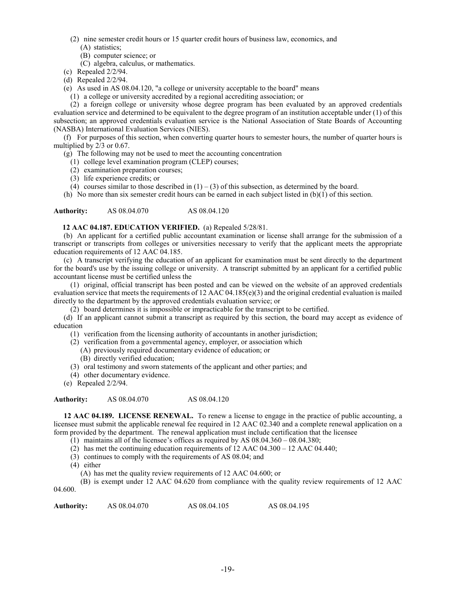- (2) nine semester credit hours or 15 quarter credit hours of business law, economics, and (A) statistics;
	- (B) computer science; or
	- (C) algebra, calculus, or mathematics.
- (c) Repealed 2/2/94.
- (d) Repealed 2/2/94.
- (e) As used in AS 08.04.120, "a college or university acceptable to the board" means
	- (1) a college or university accredited by a regional accrediting association; or

(2) a foreign college or university whose degree program has been evaluated by an approved credentials evaluation service and determined to be equivalent to the degree program of an institution acceptable under (1) of this subsection; an approved credentials evaluation service is the National Association of State Boards of Accounting (NASBA) International Evaluation Services (NIES).

(f) For purposes of this section, when converting quarter hours to semester hours, the number of quarter hours is multiplied by 2/3 or 0.67.

(g) The following may not be used to meet the accounting concentration

- (1) college level examination program (CLEP) courses;
- (2) examination preparation courses;
- (3) life experience credits; or
- (4) courses similar to those described in  $(1) (3)$  of this subsection, as determined by the board.

(h) No more than six semester credit hours can be earned in each subject listed in (b)(1) of this section.

**Authority:** AS 08.04.070 AS 08.04.120

# **12 AAC 04.187. EDUCATION VERIFIED.** (a) Repealed 5/28/81.

(b) An applicant for a certified public accountant examination or license shall arrange for the submission of a transcript or transcripts from colleges or universities necessary to verify that the applicant meets the appropriate education requirements of 12 AAC 04.185.

(c) A transcript verifying the education of an applicant for examination must be sent directly to the department for the board's use by the issuing college or university. A transcript submitted by an applicant for a certified public accountant license must be certified unless the

(1) original, official transcript has been posted and can be viewed on the website of an approved credentials evaluation service that meets the requirements of 12 AAC 04.185(e)(3) and the original credential evaluation is mailed directly to the department by the approved credentials evaluation service; or

(2) board determines it is impossible or impracticable for the transcript to be certified.

(d) If an applicant cannot submit a transcript as required by this section, the board may accept as evidence of education

- (1) verification from the licensing authority of accountants in another jurisdiction;
- (2) verification from a governmental agency, employer, or association which
	- (A) previously required documentary evidence of education; or
	- (B) directly verified education;
- (3) oral testimony and sworn statements of the applicant and other parties; and
- (4) other documentary evidence.
- (e) Repealed 2/2/94.

# **Authority:** AS 08.04.070 AS 08.04.120

**12 AAC 04.189. LICENSE RENEWAL.** To renew a license to engage in the practice of public accounting, a licensee must submit the applicable renewal fee required in 12 AAC 02.340 and a complete renewal application on a form provided by the department. The renewal application must include certification that the licensee

- (1) maintains all of the licensee's offices as required by AS 08.04.360 08.04.380;
- (2) has met the continuing education requirements of 12 AAC 04.300 12 AAC 04.440;
- (3) continues to comply with the requirements of AS 08.04; and
- (4) either
	- (A) has met the quality review requirements of 12 AAC 04.600; or

(B) is exempt under 12 AAC 04.620 from compliance with the quality review requirements of 12 AAC 04.600.

| Authority: | AS 08.04.070 | AS 08.04.105 | AS 08.04.195 |
|------------|--------------|--------------|--------------|
|            |              |              |              |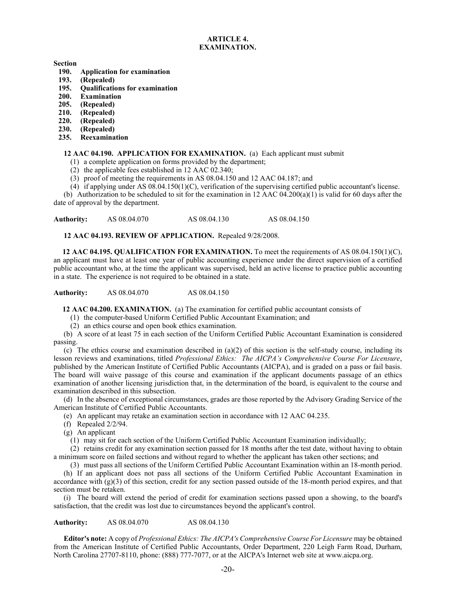# **ARTICLE 4. EXAMINATION.**

**Section**

- **190. Application for examination**
- **193. (Repealed)**
- **195. Qualifications for examination**
- **200. Examination**
- **205. (Repealed)**
- **210. (Repealed)**
- **220. (Repealed)**
- **230. (Repealed)**
- **235. Reexamination**

# **12 AAC 04.190. APPLICATION FOR EXAMINATION.** (a) Each applicant must submit

- (1) a complete application on forms provided by the department;
- (2) the applicable fees established in 12 AAC 02.340;
- (3) proof of meeting the requirements in AS 08.04.150 and 12 AAC 04.187; and
- (4) if applying under AS  $08.04.150(1)$ (C), verification of the supervising certified public accountant's license.

(b) Authorization to be scheduled to sit for the examination in 12 AAC  $04.200(a)(1)$  is valid for 60 days after the date of approval by the department.

Authority: AS 08.04.070 AS 08.04.130 AS 08.04.150

**12 AAC 04.193. REVIEW OF APPLICATION.** Repealed 9/28/2008.

**12 AAC 04.195. QUALIFICATION FOR EXAMINATION.** To meet the requirements of AS 08.04.150(1)(C), an applicant must have at least one year of public accounting experience under the direct supervision of a certified public accountant who, at the time the applicant was supervised, held an active license to practice public accounting in a state. The experience is not required to be obtained in a state.

**Authority:** AS 08.04.070 AS 08.04.150

**12 AAC 04.200. EXAMINATION.** (a) The examination for certified public accountant consists of

(1) the computer-based Uniform Certified Public Accountant Examination; and

(2) an ethics course and open book ethics examination.

(b) A score of at least 75 in each section of the Uniform Certified Public Accountant Examination is considered passing.

(c) The ethics course and examination described in  $(a)(2)$  of this section is the self-study course, including its lesson reviews and examinations, titled *Professional Ethics: The AICPA's Comprehensive Course For Licensure*, published by the American Institute of Certified Public Accountants (AICPA), and is graded on a pass or fail basis. The board will waive passage of this course and examination if the applicant documents passage of an ethics examination of another licensing jurisdiction that, in the determination of the board, is equivalent to the course and examination described in this subsection.

(d) In the absence of exceptional circumstances, grades are those reported by the Advisory Grading Service of the American Institute of Certified Public Accountants.

(e) An applicant may retake an examination section in accordance with 12 AAC 04.235.

- (f) Repealed 2/2/94.
- (g) An applicant

(1) may sit for each section of the Uniform Certified Public Accountant Examination individually;

(2) retains credit for any examination section passed for 18 months after the test date, without having to obtain a minimum score on failed sections and without regard to whether the applicant has taken other sections; and

(3) must pass all sections of the Uniform Certified Public Accountant Examination within an 18-month period.

(h) If an applicant does not pass all sections of the Uniform Certified Public Accountant Examination in accordance with  $(g)(3)$  of this section, credit for any section passed outside of the 18-month period expires, and that section must be retaken.

(i) The board will extend the period of credit for examination sections passed upon a showing, to the board's satisfaction, that the credit was lost due to circumstances beyond the applicant's control.

**Authority:** AS 08.04.070 AS 08.04.130

**Editor's note:** A copy of *Professional Ethics: The AICPA's Comprehensive Course For Licensure* may be obtained from the American Institute of Certified Public Accountants, Order Department, 220 Leigh Farm Road, Durham, North Carolina 27707-8110, phone: (888) 777-7077, or at the AICPA's Internet web site at www.aicpa.org.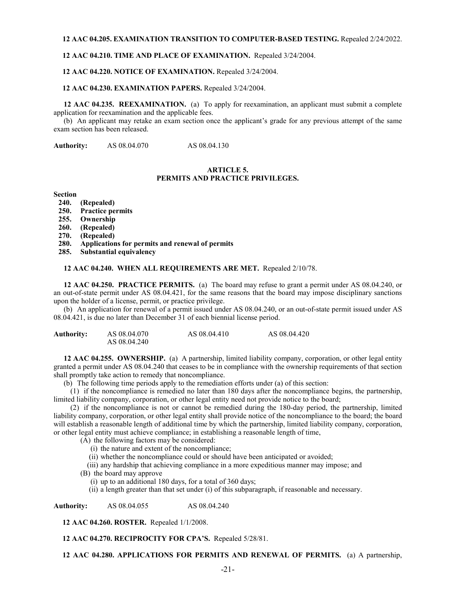#### **12 AAC 04.205. EXAMINATION TRANSITION TO COMPUTER-BASED TESTING.** Repealed 2/24/2022.

#### **12 AAC 04.210. TIME AND PLACE OF EXAMINATION.** Repealed 3/24/2004.

#### **12 AAC 04.220. NOTICE OF EXAMINATION.** Repealed 3/24/2004.

#### **12 AAC 04.230. EXAMINATION PAPERS.** Repealed 3/24/2004.

**12 AAC 04.235. REEXAMINATION.** (a) To apply for reexamination, an applicant must submit a complete application for reexamination and the applicable fees.

(b) An applicant may retake an exam section once the applicant's grade for any previous attempt of the same exam section has been released.

**Authority:** AS 08.04.070 AS 08.04.130

#### **ARTICLE 5. PERMITS AND PRACTICE PRIVILEGES.**

**Section**

- **240. (Repealed)**
- **250. Practice permits**
- **255. Ownership**
- **260. (Repealed)**
- **270. (Repealed)**
- **280. Applications for permits and renewal of permits**
- **285. Substantial equivalency**

#### **12 AAC 04.240. WHEN ALL REQUIREMENTS ARE MET.** Repealed 2/10/78.

**12 AAC 04.250. PRACTICE PERMITS.** (a) The board may refuse to grant a permit under AS 08.04.240, or an out-of-state permit under AS 08.04.421, for the same reasons that the board may impose disciplinary sanctions upon the holder of a license, permit, or practice privilege.

(b) An application for renewal of a permit issued under AS 08.04.240, or an out-of-state permit issued under AS 08.04.421, is due no later than December 31 of each biennial license period.

| <b>Authority:</b> | AS 08.04.070 | AS 08.04.410 | AS 08.04.420 |
|-------------------|--------------|--------------|--------------|
|                   | AS 08.04.240 |              |              |

**12 AAC 04.255. OWNERSHIP.** (a) A partnership, limited liability company, corporation, or other legal entity granted a permit under AS 08.04.240 that ceases to be in compliance with the ownership requirements of that section shall promptly take action to remedy that noncompliance.

(b) The following time periods apply to the remediation efforts under (a) of this section:

(1) if the noncompliance is remedied no later than 180 days after the noncompliance begins, the partnership, limited liability company, corporation, or other legal entity need not provide notice to the board;

(2) if the noncompliance is not or cannot be remedied during the 180-day period, the partnership, limited liability company, corporation, or other legal entity shall provide notice of the noncompliance to the board; the board will establish a reasonable length of additional time by which the partnership, limited liability company, corporation, or other legal entity must achieve compliance; in establishing a reasonable length of time,

(A) the following factors may be considered:

- (i) the nature and extent of the noncompliance;
- (ii) whether the noncompliance could or should have been anticipated or avoided;

(iii) any hardship that achieving compliance in a more expeditious manner may impose; and

(B) the board may approve

- (i) up to an additional 180 days, for a total of 360 days;
- (ii) a length greater than that set under (i) of this subparagraph, if reasonable and necessary.

**Authority:** AS 08.04.055 AS 08.04.240

**12 AAC 04.260. ROSTER.** Repealed 1/1/2008.

**12 AAC 04.270. RECIPROCITY FOR CPA'S.** Repealed 5/28/81.

#### **12 AAC 04.280. APPLICATIONS FOR PERMITS AND RENEWAL OF PERMITS.** (a) A partnership,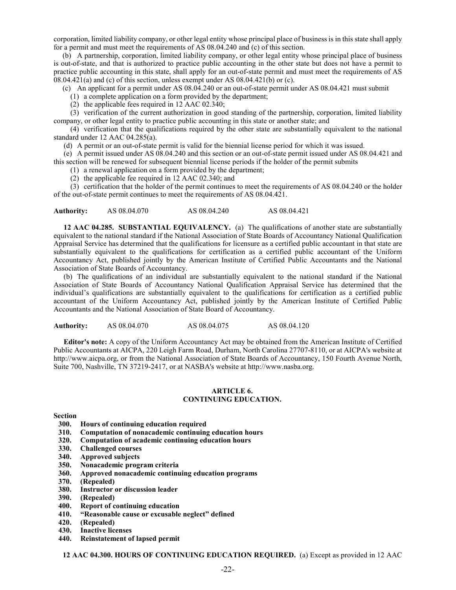corporation, limited liability company, or other legal entity whose principal place of business is in this state shall apply for a permit and must meet the requirements of AS 08.04.240 and (c) of this section.

(b) A partnership, corporation, limited liability company, or other legal entity whose principal place of business is out-of-state, and that is authorized to practice public accounting in the other state but does not have a permit to practice public accounting in this state, shall apply for an out-of-state permit and must meet the requirements of AS  $08.04.421(a)$  and (c) of this section, unless exempt under AS  $08.04.421(b)$  or (c).

(c) An applicant for a permit under AS 08.04.240 or an out-of-state permit under AS 08.04.421 must submit

(1) a complete application on a form provided by the department;

(2) the applicable fees required in 12 AAC 02.340;

(3) verification of the current authorization in good standing of the partnership, corporation, limited liability company, or other legal entity to practice public accounting in this state or another state; and

(4) verification that the qualifications required by the other state are substantially equivalent to the national standard under 12 AAC 04.285(a).

(d) A permit or an out-of-state permit is valid for the biennial license period for which it was issued.

(e) A permit issued under AS 08.04.240 and this section or an out-of-state permit issued under AS 08.04.421 and this section will be renewed for subsequent biennial license periods if the holder of the permit submits

(1) a renewal application on a form provided by the department;

(2) the applicable fee required in 12 AAC 02.340; and

(3) certification that the holder of the permit continues to meet the requirements of AS 08.04.240 or the holder of the out-of-state permit continues to meet the requirements of AS 08.04.421.

**Authority:** AS 08.04.070 AS 08.04.240 AS 08.04.421

**12 AAC 04.285. SUBSTANTIAL EQUIVALENCY.** (a) The qualifications of another state are substantially equivalent to the national standard if the National Association of State Boards of Accountancy National Qualification Appraisal Service has determined that the qualifications for licensure as a certified public accountant in that state are substantially equivalent to the qualifications for certification as a certified public accountant of the Uniform Accountancy Act, published jointly by the American Institute of Certified Public Accountants and the National Association of State Boards of Accountancy.

(b) The qualifications of an individual are substantially equivalent to the national standard if the National Association of State Boards of Accountancy National Qualification Appraisal Service has determined that the individual's qualifications are substantially equivalent to the qualifications for certification as a certified public accountant of the Uniform Accountancy Act, published jointly by the American Institute of Certified Public Accountants and the National Association of State Board of Accountancy.

**Authority:** AS 08.04.070 AS 08.04.075 AS 08.04.120

**Editor's note:** A copy of the Uniform Accountancy Act may be obtained from the American Institute of Certified Public Accountants at AICPA, 220 Leigh Farm Road, Durham, North Carolina 27707-8110, or at AICPA's website at http://www.aicpa.org, or from the National Association of State Boards of Accountancy, 150 Fourth Avenue North, Suite 700, Nashville, TN 37219-2417, or at NASBA's website at http://www.nasba.org.

#### **ARTICLE 6. CONTINUING EDUCATION.**

**Section**

- **300. Hours of continuing education required**
- **310. Computation of nonacademic continuing education hours**
- **320. Computation of academic continuing education hours**
- **330. Challenged courses**
- 
- **340. Approved subjects 350. Nonacademic program criteria**
- **360. Approved nonacademic continuing education programs**
- **370. (Repealed)**
- **380. Instructor or discussion leader**
- **390. (Repealed)**
- **400. Report of continuing education**
- **410. "Reasonable cause or excusable neglect" defined**
- **420. (Repealed)**
- **430. Inactive licenses**
- **440. Reinstatement of lapsed permit**

**12 AAC 04.300. HOURS OF CONTINUING EDUCATION REQUIRED.** (a) Except as provided in 12 AAC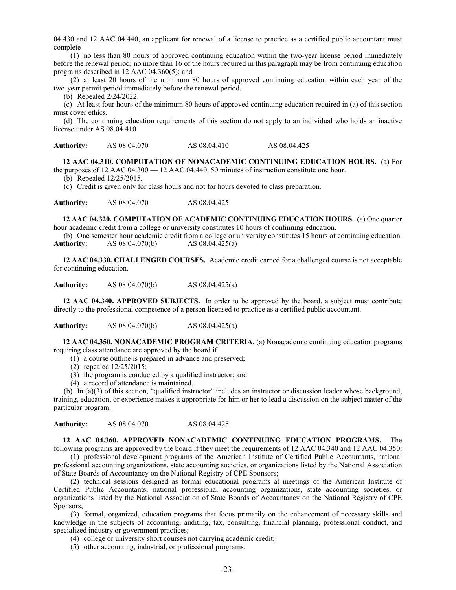04.430 and 12 AAC 04.440, an applicant for renewal of a license to practice as a certified public accountant must complete

(1) no less than 80 hours of approved continuing education within the two-year license period immediately before the renewal period; no more than 16 of the hours required in this paragraph may be from continuing education programs described in 12 AAC 04.360(5); and

(2) at least 20 hours of the minimum 80 hours of approved continuing education within each year of the two-year permit period immediately before the renewal period.

(b) Repealed 2/24/2022.

(c) At least four hours of the minimum 80 hours of approved continuing education required in (a) of this section must cover ethics.

(d) The continuing education requirements of this section do not apply to an individual who holds an inactive license under AS 08.04.410.

Authority: AS 08.04.070 AS 08.04.410 AS 08.04.425

**12 AAC 04.310. COMPUTATION OF NONACADEMIC CONTINUING EDUCATION HOURS.** (a) For the purposes of 12 AAC 04.300 — 12 AAC 04.440, 50 minutes of instruction constitute one hour.

(b) Repealed 12/25/2015.

(c) Credit is given only for class hours and not for hours devoted to class preparation.

**Authority:** AS 08.04.070 AS 08.04.425

**12 AAC 04.320. COMPUTATION OF ACADEMIC CONTINUING EDUCATION HOURS.** (a) One quarter hour academic credit from a college or university constitutes 10 hours of continuing education.

(b) One semester hour academic credit from a college or university constitutes 15 hours of continuing education.<br>Authority: AS  $08.04.070(b)$  AS  $08.04.425(a)$ **Authority:** AS 08.04.070(b) AS 08.04.425(a)

**12 AAC 04.330. CHALLENGED COURSES.** Academic credit earned for a challenged course is not acceptable for continuing education.

**Authority:** AS 08.04.070(b) AS 08.04.425(a)

**12 AAC 04.340. APPROVED SUBJECTS.** In order to be approved by the board, a subject must contribute directly to the professional competence of a person licensed to practice as a certified public accountant.

**Authority:** AS 08.04.070(b) AS 08.04.425(a)

**12 AAC 04.350. NONACADEMIC PROGRAM CRITERIA.** (a) Nonacademic continuing education programs requiring class attendance are approved by the board if

- (1) a course outline is prepared in advance and preserved;
- (2) repealed 12/25/2015;
- (3) the program is conducted by a qualified instructor; and
- (4) a record of attendance is maintained.

(b) In (a)(3) of this section, "qualified instructor" includes an instructor or discussion leader whose background, training, education, or experience makes it appropriate for him or her to lead a discussion on the subject matter of the particular program.

**Authority:** AS 08.04.070 AS 08.04.425

**12 AAC 04.360. APPROVED NONACADEMIC CONTINUING EDUCATION PROGRAMS.** The

following programs are approved by the board if they meet the requirements of 12 AAC 04.340 and 12 AAC 04.350: (1) professional development programs of the American Institute of Certified Public Accountants, national professional accounting organizations, state accounting societies, or organizations listed by the National Association of State Boards of Accountancy on the National Registry of CPE Sponsors;

(2) technical sessions designed as formal educational programs at meetings of the American Institute of Certified Public Accountants, national professional accounting organizations, state accounting societies, or organizations listed by the National Association of State Boards of Accountancy on the National Registry of CPE Sponsors;

(3) formal, organized, education programs that focus primarily on the enhancement of necessary skills and knowledge in the subjects of accounting, auditing, tax, consulting, financial planning, professional conduct, and specialized industry or government practices;

- (4) college or university short courses not carrying academic credit;
- (5) other accounting, industrial, or professional programs.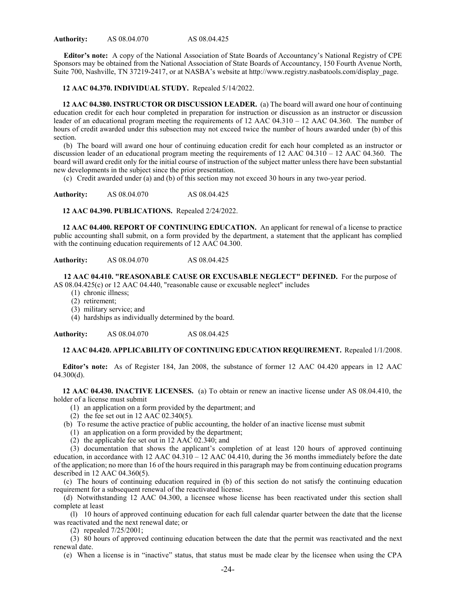**Editor's note:** A copy of the National Association of State Boards of Accountancy's National Registry of CPE Sponsors may be obtained from the National Association of State Boards of Accountancy, 150 Fourth Avenue North, Suite 700, Nashville, TN 37219-2417, or at NASBA's website at http://www.registry.nasbatools.com/display\_page.

**12 AAC 04.370. INDIVIDUAL STUDY.** Repealed 5/14/2022.

**12 AAC 04.380. INSTRUCTOR OR DISCUSSION LEADER.** (a) The board will award one hour of continuing education credit for each hour completed in preparation for instruction or discussion as an instructor or discussion leader of an educational program meeting the requirements of 12 AAC 04.310 – 12 AAC 04.360. The number of hours of credit awarded under this subsection may not exceed twice the number of hours awarded under (b) of this section.

(b) The board will award one hour of continuing education credit for each hour completed as an instructor or discussion leader of an educational program meeting the requirements of 12 AAC 04.310 – 12 AAC 04.360. The board will award credit only for the initial course of instruction of the subject matter unless there have been substantial new developments in the subject since the prior presentation.

(c) Credit awarded under (a) and (b) of this section may not exceed 30 hours in any two-year period.

**Authority:** AS 08.04.070 AS 08.04.425

**12 AAC 04.390. PUBLICATIONS.** Repealed 2/24/2022.

**12 AAC 04.400. REPORT OF CONTINUING EDUCATION.** An applicant for renewal of a license to practice public accounting shall submit, on a form provided by the department, a statement that the applicant has complied with the continuing education requirements of 12 AAC 04.300.

**Authority:** AS 08.04.070 AS 08.04.425

**12 AAC 04.410. "REASONABLE CAUSE OR EXCUSABLE NEGLECT" DEFINED.** For the purpose of AS 08.04.425(c) or 12 AAC 04.440, "reasonable cause or excusable neglect" includes

- (1) chronic illness;
- (2) retirement;
- (3) military service; and

(4) hardships as individually determined by the board.

**Authority:** AS 08.04.070 AS 08.04.425

# **12 AAC 04.420. APPLICABILITY OF CONTINUING EDUCATION REQUIREMENT.** Repealed 1/1/2008.

**Editor's note:** As of Register 184, Jan 2008, the substance of former 12 AAC 04.420 appears in 12 AAC 04.300(d).

**12 AAC 04.430. INACTIVE LICENSES.** (a) To obtain or renew an inactive license under AS 08.04.410, the holder of a license must submit

- (1) an application on a form provided by the department; and
- $(2)$  the fee set out in 12 AAC 02.340(5).
- (b) To resume the active practice of public accounting, the holder of an inactive license must submit
	- (1) an application on a form provided by the department;
	- (2) the applicable fee set out in 12 AAC 02.340; and

(3) documentation that shows the applicant's completion of at least 120 hours of approved continuing education, in accordance with  $12$  AAC  $04.310 - 12$  AAC  $04.410$ , during the 36 months immediately before the date of the application; no more than 16 of the hours required in this paragraph may be from continuing education programs described in 12 AAC 04.360(5).

(c) The hours of continuing education required in (b) of this section do not satisfy the continuing education requirement for a subsequent renewal of the reactivated license.

(d) Notwithstanding 12 AAC 04.300, a licensee whose license has been reactivated under this section shall complete at least

(l) 10 hours of approved continuing education for each full calendar quarter between the date that the license was reactivated and the next renewal date; or

(2) repealed 7/25/2001;

(3) 80 hours of approved continuing education between the date that the permit was reactivated and the next renewal date.

(e) When a license is in "inactive" status, that status must be made clear by the licensee when using the CPA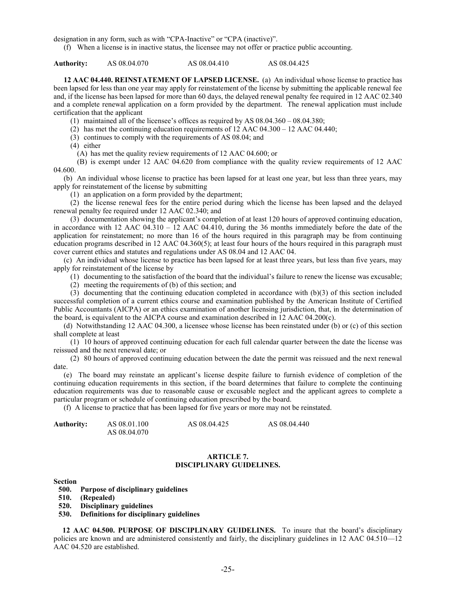designation in any form, such as with "CPA-Inactive" or "CPA (inactive)".

(f) When a license is in inactive status, the licensee may not offer or practice public accounting.

**Authority:** AS 08.04.070 AS 08.04.410 AS 08.04.425

**12 AAC 04.440. REINSTATEMENT OF LAPSED LICENSE.** (a) An individual whose license to practice has been lapsed for less than one year may apply for reinstatement of the license by submitting the applicable renewal fee and, if the license has been lapsed for more than 60 days, the delayed renewal penalty fee required in 12 AAC 02.340 and a complete renewal application on a form provided by the department. The renewal application must include certification that the applicant

(1) maintained all of the licensee's offices as required by AS 08.04.360 – 08.04.380;

(2) has met the continuing education requirements of 12 AAC 04.300 – 12 AAC 04.440;

(3) continues to comply with the requirements of AS 08.04; and

(4) either

(A) has met the quality review requirements of 12 AAC 04.600; or

(B) is exempt under 12 AAC 04.620 from compliance with the quality review requirements of 12 AAC 04.600.

(b) An individual whose license to practice has been lapsed for at least one year, but less than three years, may apply for reinstatement of the license by submitting

(1) an application on a form provided by the department;

(2) the license renewal fees for the entire period during which the license has been lapsed and the delayed renewal penalty fee required under 12 AAC 02.340; and

(3) documentation showing the applicant's completion of at least 120 hours of approved continuing education, in accordance with 12 AAC 04.310 – 12 AAC 04.410, during the 36 months immediately before the date of the application for reinstatement; no more than 16 of the hours required in this paragraph may be from continuing education programs described in 12 AAC 04.360(5); at least four hours of the hours required in this paragraph must cover current ethics and statutes and regulations under AS 08.04 and 12 AAC 04.

(c) An individual whose license to practice has been lapsed for at least three years, but less than five years, may apply for reinstatement of the license by

(1) documenting to the satisfaction of the board that the individual's failure to renew the license was excusable;

(2) meeting the requirements of (b) of this section; and

(3) documenting that the continuing education completed in accordance with (b)(3) of this section included successful completion of a current ethics course and examination published by the American Institute of Certified Public Accountants (AICPA) or an ethics examination of another licensing jurisdiction, that, in the determination of the board, is equivalent to the AICPA course and examination described in 12 AAC 04.200(c).

(d) Notwithstanding 12 AAC 04.300, a licensee whose license has been reinstated under (b) or (c) of this section shall complete at least

(1) 10 hours of approved continuing education for each full calendar quarter between the date the license was reissued and the next renewal date; or

(2) 80 hours of approved continuing education between the date the permit was reissued and the next renewal date.

(e) The board may reinstate an applicant's license despite failure to furnish evidence of completion of the continuing education requirements in this section, if the board determines that failure to complete the continuing education requirements was due to reasonable cause or excusable neglect and the applicant agrees to complete a particular program or schedule of continuing education prescribed by the board.

(f) A license to practice that has been lapsed for five years or more may not be reinstated.

| <b>Authority:</b> | AS 08.01.100 | AS 08.04.425 | AS 08.04.440 |
|-------------------|--------------|--------------|--------------|
|                   | AS 08.04.070 |              |              |

# **ARTICLE 7. DISCIPLINARY GUIDELINES.**

#### **Section**

- **500. Purpose of disciplinary guidelines**
- **510. (Repealed)**
- **520. Disciplinary guidelines**
- **530. Definitions for disciplinary guidelines**

**12 AAC 04.500. PURPOSE OF DISCIPLINARY GUIDELINES.** To insure that the board's disciplinary policies are known and are administered consistently and fairly, the disciplinary guidelines in 12 AAC 04.510—12 AAC 04.520 are established.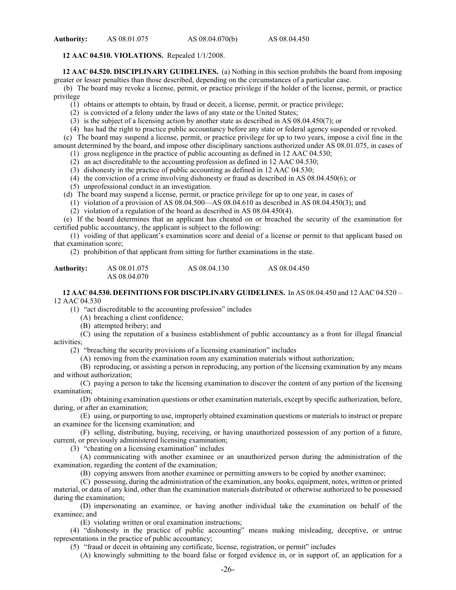#### **12 AAC 04.510. VIOLATIONS.** Repealed 1/1/2008.

**12 AAC 04.520. DISCIPLINARY GUIDELINES.** (a) Nothing in this section prohibits the board from imposing greater or lesser penalties than those described, depending on the circumstances of a particular case.

(b) The board may revoke a license, permit, or practice privilege if the holder of the license, permit, or practice privilege

(1) obtains or attempts to obtain, by fraud or deceit, a license, permit, or practice privilege;

(2) is convicted of a felony under the laws of any state or the United States;

(3) is the subject of a licensing action by another state as described in AS 08.04.450(7); or

(4) has had the right to practice public accountancy before any state or federal agency suspended or revoked.

(c) The board may suspend a license, permit, or practice privilege for up to two years, impose a civil fine in the amount determined by the board, and impose other disciplinary sanctions authorized under AS 08.01.075, in cases of

(1) gross negligence in the practice of public accounting as defined in 12 AAC 04.530;

(2) an act discreditable to the accounting profession as defined in 12 AAC 04.530;

(3) dishonesty in the practice of public accounting as defined in 12 AAC 04.530;

(4) the conviction of a crime involving dishonesty or fraud as described in AS 08.04.450(6); or

(5) unprofessional conduct in an investigation.

(d) The board may suspend a license, permit, or practice privilege for up to one year, in cases of

(1) violation of a provision of AS  $\overline{08.04.500} - \overline{0.04.610}$  as described in AS  $\overline{08.04.450(3)}$ ; and

(2) violation of a regulation of the board as described in AS 08.04.450(4).

(e) If the board determines that an applicant has cheated on or breached the security of the examination for certified public accountancy, the applicant is subject to the following:

(1) voiding of that applicant's examination score and denial of a license or permit to that applicant based on that examination score;

(2) prohibition of that applicant from sitting for further examinations in the state.

| <b>Authority:</b> | AS 08.01.075 | AS 08.04.130 | AS 08.04.450 |
|-------------------|--------------|--------------|--------------|
|                   | AS 08.04.070 |              |              |

#### **12 AAC 04.530. DEFINITIONS FOR DISCIPLINARY GUIDELINES.** In AS 08.04.450 and 12 AAC 04.520 – 12 AAC 04.530

(1) "act discreditable to the accounting profession" includes

(A) breaching a client confidence;

(B) attempted bribery; and

(C) using the reputation of a business establishment of public accountancy as a front for illegal financial activities;

(2) "breaching the security provisions of a licensing examination" includes

(A) removing from the examination room any examination materials without authorization;

(B) reproducing, or assisting a person in reproducing, any portion of the licensing examination by any means and without authorization;

(C) paying a person to take the licensing examination to discover the content of any portion of the licensing examination;

(D) obtaining examination questions or other examination materials, except by specific authorization, before, during, or after an examination;

(E) using, or purporting to use, improperly obtained examination questions or materials to instruct or prepare an examinee for the licensing examination; and

(F) selling, distributing, buying, receiving, or having unauthorized possession of any portion of a future, current, or previously administered licensing examination;

(3) "cheating on a licensing examination" includes

(A) communicating with another examinee or an unauthorized person during the administration of the examination, regarding the content of the examination;

(B) copying answers from another examinee or permitting answers to be copied by another examinee;

(C) possessing, during the administration of the examination, any books, equipment, notes, written or printed material, or data of any kind, other than the examination materials distributed or otherwise authorized to be possessed during the examination;

(D) impersonating an examinee, or having another individual take the examination on behalf of the examinee; and

(E) violating written or oral examination instructions;

(4) "dishonesty in the practice of public accounting" means making misleading, deceptive, or untrue representations in the practice of public accountancy;

(5) "fraud or deceit in obtaining any certificate, license, registration, or permit" includes

(A) knowingly submitting to the board false or forged evidence in, or in support of, an application for a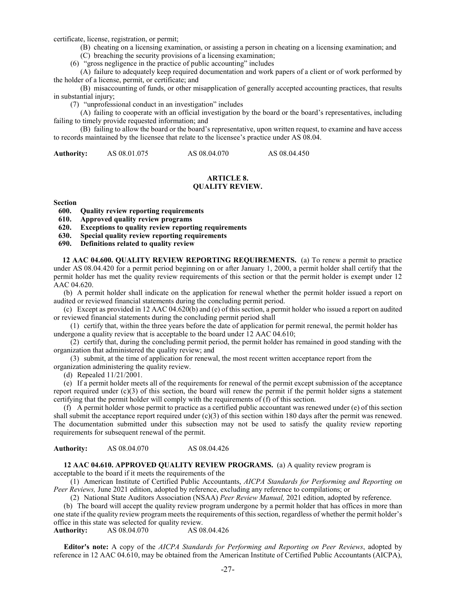certificate, license, registration, or permit;

(B) cheating on a licensing examination, or assisting a person in cheating on a licensing examination; and

(C) breaching the security provisions of a licensing examination;

(6) "gross negligence in the practice of public accounting" includes

(A) failure to adequately keep required documentation and work papers of a client or of work performed by the holder of a license, permit, or certificate; and

(B) misaccounting of funds, or other misapplication of generally accepted accounting practices, that results in substantial injury;

(7) "unprofessional conduct in an investigation" includes

(A) failing to cooperate with an official investigation by the board or the board's representatives, including failing to timely provide requested information; and

(B) failing to allow the board or the board's representative, upon written request, to examine and have access to records maintained by the licensee that relate to the licensee's practice under AS 08.04.

**Authority:** AS 08.01.075 AS 08.04.070 AS 08.04.450

# **ARTICLE 8. QUALITY REVIEW.**

#### **Section**

- **600. Quality review reporting requirements**
- **610. Approved quality review programs**
- **620. Exceptions to quality review reporting requirements**
- **630. Special quality review reporting requirements**
- **690. Definitions related to quality review**

**12 AAC 04.600. QUALITY REVIEW REPORTING REQUIREMENTS.** (a) To renew a permit to practice under AS 08.04.420 for a permit period beginning on or after January 1, 2000, a permit holder shall certify that the permit holder has met the quality review requirements of this section or that the permit holder is exempt under 12 AAC 04.620.

(b) A permit holder shall indicate on the application for renewal whether the permit holder issued a report on audited or reviewed financial statements during the concluding permit period.

(c) Except as provided in 12 AAC 04.620(b) and (e) of this section, a permit holder who issued a report on audited or reviewed financial statements during the concluding permit period shall

(1) certify that, within the three years before the date of application for permit renewal, the permit holder has undergone a quality review that is acceptable to the board under 12 AAC 04.610;

(2) certify that, during the concluding permit period, the permit holder has remained in good standing with the organization that administered the quality review; and

(3) submit, at the time of application for renewal, the most recent written acceptance report from the

organization administering the quality review.

(d) Repealed 11/21/2001.

(e) If a permit holder meets all of the requirements for renewal of the permit except submission of the acceptance report required under  $(c)(3)$  of this section, the board will renew the permit if the permit holder signs a statement certifying that the permit holder will comply with the requirements of (f) of this section.

(f) A permit holder whose permit to practice as a certified public accountant was renewed under (e) of this section shall submit the acceptance report required under  $(c)(3)$  of this section within 180 days after the permit was renewed. The documentation submitted under this subsection may not be used to satisfy the quality review reporting requirements for subsequent renewal of the permit.

**Authority:** AS 08.04.070 AS 08.04.426

**12 AAC 04.610. APPROVED QUALITY REVIEW PROGRAMS.** (a) A quality review program is acceptable to the board if it meets the requirements of the

(1) American Institute of Certified Public Accountants, *AICPA Standards for Performing and Reporting on Peer Reviews,* June 2021 edition, adopted by reference, excluding any reference to compilations; or

(2) National State Auditors Association (NSAA) *Peer Review Manual,* 2021 edition, adopted by reference.

(b) The board will accept the quality review program undergone by a permit holder that has offices in more than one state if the quality review program meets the requirements of this section, regardless of whether the permit holder's office in this state was selected for quality review.<br>
Authority: AS 08.04.070 AS 08.04.426

**Authority:** AS 08.04.070

**Editor's note:** A copy of the *AICPA Standards for Performing and Reporting on Peer Reviews*, adopted by reference in 12 AAC 04.610, may be obtained from the American Institute of Certified Public Accountants (AICPA),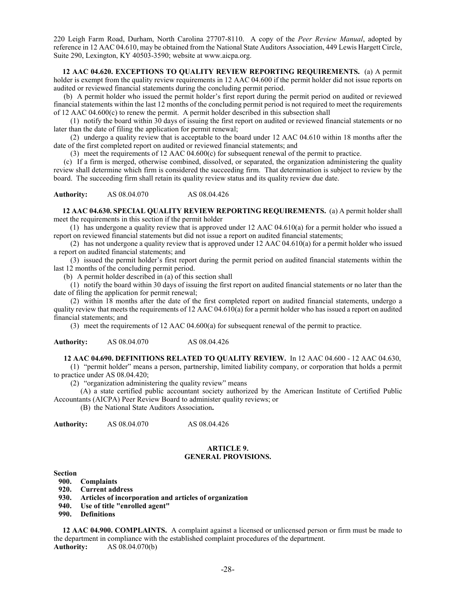220 Leigh Farm Road, Durham, North Carolina 27707-8110. A copy of the *Peer Review Manual*, adopted by reference in 12 AAC 04.610, may be obtained from the National State Auditors Association, 449 Lewis Hargett Circle, Suite 290, Lexington, KY 40503-3590; website at www.aicpa.org.

**12 AAC 04.620. EXCEPTIONS TO QUALITY REVIEW REPORTING REQUIREMENTS.** (a) A permit holder is exempt from the quality review requirements in 12 AAC 04.600 if the permit holder did not issue reports on audited or reviewed financial statements during the concluding permit period.

(b) A permit holder who issued the permit holder's first report during the permit period on audited or reviewed financial statements within the last 12 months of the concluding permit period is not required to meet the requirements of 12 AAC 04.600(c) to renew the permit. A permit holder described in this subsection shall

(1) notify the board within 30 days of issuing the first report on audited or reviewed financial statements or no later than the date of filing the application for permit renewal;

(2) undergo a quality review that is acceptable to the board under 12 AAC 04.610 within 18 months after the date of the first completed report on audited or reviewed financial statements; and

(3) meet the requirements of 12 AAC 04.600(c) for subsequent renewal of the permit to practice.

(c) If a firm is merged, otherwise combined, dissolved, or separated, the organization administering the quality review shall determine which firm is considered the succeeding firm. That determination is subject to review by the board. The succeeding firm shall retain its quality review status and its quality review due date.

**Authority:** AS 08.04.070 AS 08.04.426

**12 AAC 04.630. SPECIAL QUALITY REVIEW REPORTING REQUIREMENTS.** (a) A permit holder shall meet the requirements in this section if the permit holder

(1) has undergone a quality review that is approved under 12 AAC 04.610(a) for a permit holder who issued a report on reviewed financial statements but did not issue a report on audited financial statements;

(2) has not undergone a quality review that is approved under 12 AAC 04.610(a) for a permit holder who issued a report on audited financial statements; and

(3) issued the permit holder's first report during the permit period on audited financial statements within the last 12 months of the concluding permit period.

(b) A permit holder described in (a) of this section shall

(1) notify the board within 30 days of issuing the first report on audited financial statements or no later than the date of filing the application for permit renewal;

(2) within 18 months after the date of the first completed report on audited financial statements, undergo a quality review that meets the requirements of  $12$  AAC 04.610(a) for a permit holder who has issued a report on audited financial statements; and

(3) meet the requirements of 12 AAC 04.600(a) for subsequent renewal of the permit to practice.

**Authority:** AS 08.04.070 AS 08.04.426

**12 AAC 04.690. DEFINITIONS RELATED TO QUALITY REVIEW.** In 12 AAC 04.600 - 12 AAC 04.630,

(1) "permit holder" means a person, partnership, limited liability company, or corporation that holds a permit to practice under AS 08.04.420;

(2) "organization administering the quality review" means

(A) a state certified public accountant society authorized by the American Institute of Certified Public Accountants (AICPA) Peer Review Board to administer quality reviews; or

(B) the National State Auditors Association**.**

**Authority:** AS 08.04.070 AS 08.04.426

#### **ARTICLE 9. GENERAL PROVISIONS.**

#### **Section**

- **900. Complaints**
- **920. Current address**
- **930. Articles of incorporation and articles of organization**
- **940. Use of title "enrolled agent"**
- **990. Definitions**

**12 AAC 04.900. COMPLAINTS.** A complaint against a licensed or unlicensed person or firm must be made to the department in compliance with the established complaint procedures of the department. **Authority:** AS 08.04.070(b)